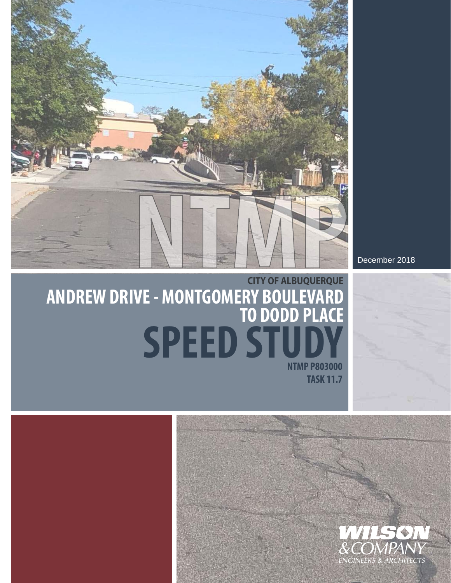

December 2018

## **NTMP P803000 ANDREW DRIVE - MONTGOMERY BOULEVARD TO DODD PLACE CITY OF ALBUQUERQUE SPEED STUDY**

**TASK 11.7**



**DRAFT**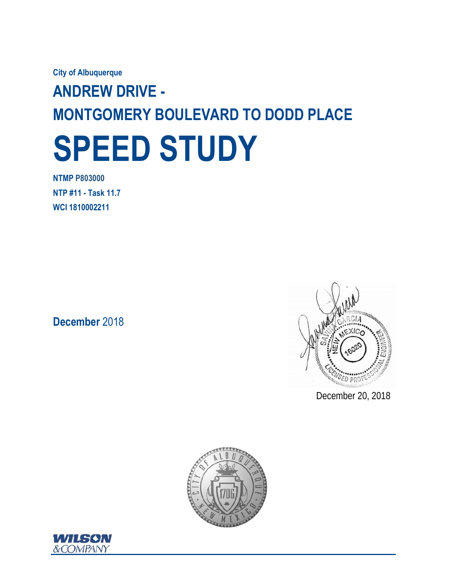**City of Albuquerque** 

# **ANDREW DRIVE - MONTGOMERY BOULEVARD TO DODD PLACE SPEED STUDY**

**NTMP P803000 NTP #11 - Task 11.7 WCI 1810002211** 

**December** 2018



December 20, 2018



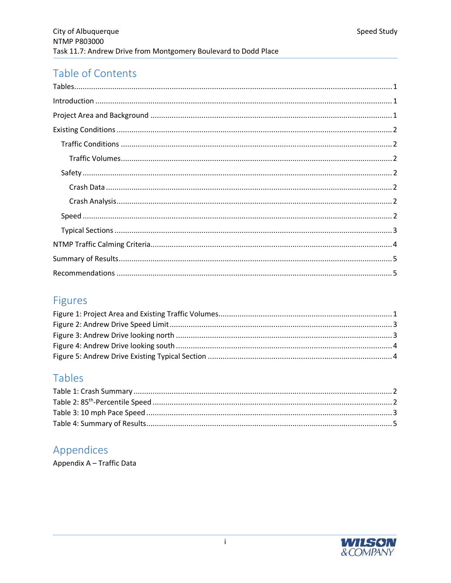## Table of Contents

## Figures

## Tables

## Appendices

Appendix A - Traffic Data

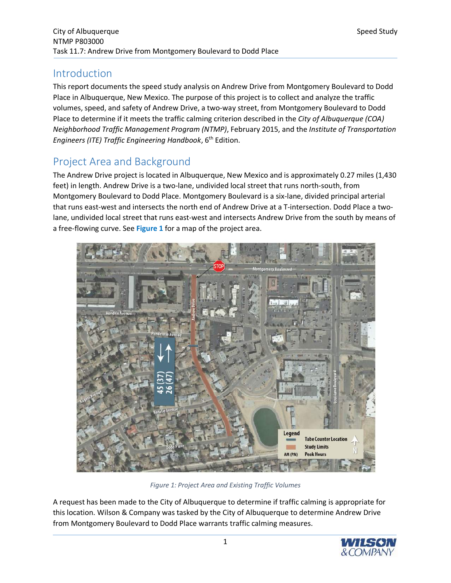## Introduction

This report documents the speed study analysis on Andrew Drive from Montgomery Boulevard to Dodd Place in Albuquerque, New Mexico. The purpose of this project is to collect and analyze the traffic volumes, speed, and safety of Andrew Drive, a two-way street, from Montgomery Boulevard to Dodd Place to determine if it meets the traffic calming criterion described in the *City of Albuquerque (COA) Neighborhood Traffic Management Program (NTMP)*, February 2015, and the *Institute of Transportation Engineers (ITE) Traffic Engineering Handbook*, 6th Edition.

## Project Area and Background

The Andrew Drive project is located in Albuquerque, New Mexico and is approximately 0.27 miles (1,430 feet) in length. Andrew Drive is a two-lane, undivided local street that runs north-south, from Montgomery Boulevard to Dodd Place. Montgomery Boulevard is a six-lane, divided principal arterial that runs east-west and intersects the north end of Andrew Drive at a T-intersection. Dodd Place a twolane, undivided local street that runs east-west and intersects Andrew Drive from the south by means of a free-flowing curve. See **Figure 1** for a map of the project area.



*Figure 1: Project Area and Existing Traffic Volumes*

A request has been made to the City of Albuquerque to determine if traffic calming is appropriate for this location. Wilson & Company was tasked by the City of Albuquerque to determine Andrew Drive from Montgomery Boulevard to Dodd Place warrants traffic calming measures.

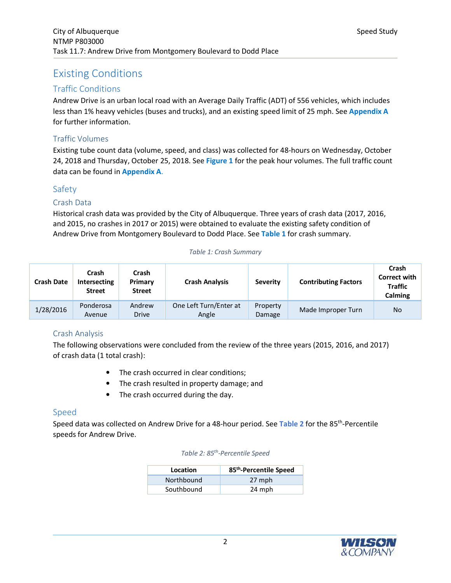## Existing Conditions

#### Traffic Conditions

Andrew Drive is an urban local road with an Average Daily Traffic (ADT) of 556 vehicles, which includes less than 1% heavy vehicles (buses and trucks), and an existing speed limit of 25 mph. See **Appendix A** for further information.

#### Traffic Volumes

Existing tube count data (volume, speed, and class) was collected for 48-hours on Wednesday, October 24, 2018 and Thursday, October 25, 2018. See **Figure 1** for the peak hour volumes. The full traffic count data can be found in **Appendix A**.

#### Safety

#### Crash Data

Historical crash data was provided by the City of Albuquerque. Three years of crash data (2017, 2016, and 2015, no crashes in 2017 or 2015) were obtained to evaluate the existing safety condition of Andrew Drive from Montgomery Boulevard to Dodd Place. See **Table 1** for crash summary.

#### *Table 1: Crash Summary*

| <b>Crash Date</b> | Crash<br>Intersecting<br><b>Street</b> | Crash<br>Primary<br><b>Street</b> | <b>Crash Analysis</b>           | <b>Severity</b>    | <b>Contributing Factors</b> | Crash<br><b>Correct with</b><br><b>Traffic</b><br>Calming |
|-------------------|----------------------------------------|-----------------------------------|---------------------------------|--------------------|-----------------------------|-----------------------------------------------------------|
| 1/28/2016         | Ponderosa<br>Avenue                    | Andrew<br><b>Drive</b>            | One Left Turn/Enter at<br>Angle | Property<br>Damage | Made Improper Turn          | No                                                        |

#### Crash Analysis

The following observations were concluded from the review of the three years (2015, 2016, and 2017) of crash data (1 total crash):

- The crash occurred in clear conditions;
- The crash resulted in property damage; and
- The crash occurred during the day.

#### Speed

Speed data was collected on Andrew Drive for a 48-hour period. See **Table 2** for the 85th-Percentile speeds for Andrew Drive.

| Location   | 85 <sup>th</sup> -Percentile Speed |
|------------|------------------------------------|
| Northbound | 27 mph                             |
| Southbound | 24 mph                             |

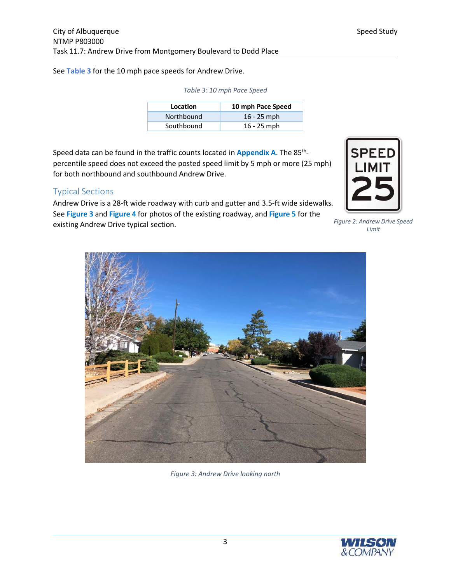See **Table 3** for the 10 mph pace speeds for Andrew Drive.

| Location   | 10 mph Pace Speed |
|------------|-------------------|
| Northbound | $16 - 25$ mph     |
| Southbound | $16 - 25$ mph     |

*Table 3: 10 mph Pace Speed* 

Speed data can be found in the traffic counts located in **Appendix A**. The 85<sup>th</sup>percentile speed does not exceed the posted speed limit by 5 mph or more (25 mph) for both northbound and southbound Andrew Drive.

#### Typical Sections

Andrew Drive is a 28-ft wide roadway with curb and gutter and 3.5-ft wide sidewalks. See **Figure 3** and **Figure 4** for photos of the existing roadway, and **Figure 5** for the existing Andrew Drive typical section.



*Figure 2: Andrew Drive Speed Limit* 



*Figure 3: Andrew Drive looking north* 

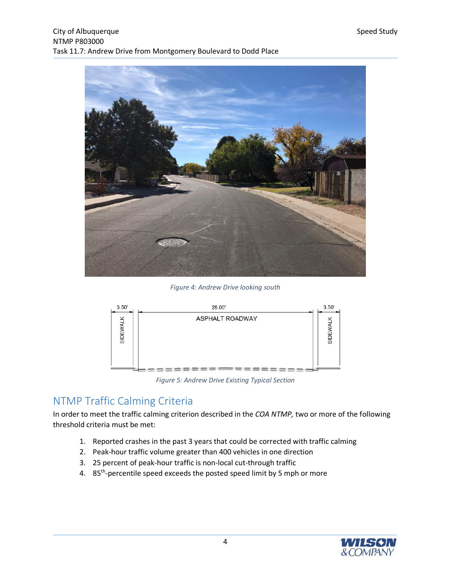

*Figure 4: Andrew Drive looking south* 



*Figure 5: Andrew Drive Existing Typical Section* 

## NTMP Traffic Calming Criteria

In order to meet the traffic calming criterion described in the *COA NTMP,* two or more of the following threshold criteria must be met:

- 1. Reported crashes in the past 3 years that could be corrected with traffic calming
- 2. Peak-hour traffic volume greater than 400 vehicles in one direction
- 3. 25 percent of peak-hour traffic is non-local cut-through traffic
- 4. 85<sup>th</sup>-percentile speed exceeds the posted speed limit by 5 mph or more

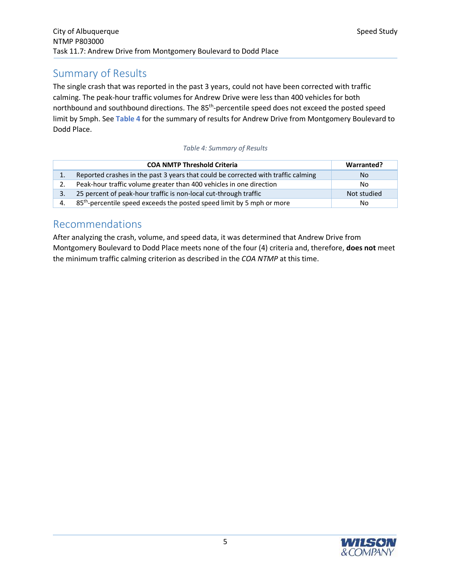## Summary of Results

The single crash that was reported in the past 3 years, could not have been corrected with traffic calming. The peak-hour traffic volumes for Andrew Drive were less than 400 vehicles for both northbound and southbound directions. The 85<sup>th</sup>-percentile speed does not exceed the posted speed limit by 5mph. See **Table 4** for the summary of results for Andrew Drive from Montgomery Boulevard to Dodd Place.

#### *Table 4: Summary of Results*

|    | <b>COA NMTP Threshold Criteria</b>                                                 | Warranted?     |
|----|------------------------------------------------------------------------------------|----------------|
|    | Reported crashes in the past 3 years that could be corrected with traffic calming  | N <sub>o</sub> |
|    | Peak-hour traffic volume greater than 400 vehicles in one direction                | No.            |
| 3. | 25 percent of peak-hour traffic is non-local cut-through traffic                   | Not studied    |
| 4. | 85 <sup>th</sup> -percentile speed exceeds the posted speed limit by 5 mph or more | No             |

### Recommendations

After analyzing the crash, volume, and speed data, it was determined that Andrew Drive from Montgomery Boulevard to Dodd Place meets none of the four (4) criteria and, therefore, **does not** meet the minimum traffic calming criterion as described in the *COA NTMP* at this time.

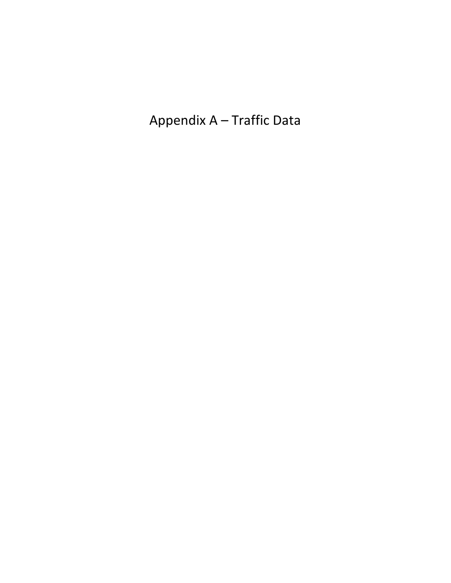Appendix A – Traffic Data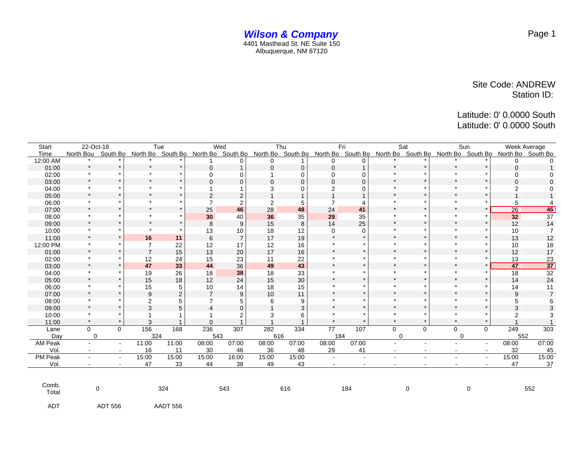|                |                      |                | Tue            |          | Wed             |                | Thu            |       | Fri            |                | Sat            |                | Sun            |                          | Week Average                                                                                                                                              |                 |
|----------------|----------------------|----------------|----------------|----------|-----------------|----------------|----------------|-------|----------------|----------------|----------------|----------------|----------------|--------------------------|-----------------------------------------------------------------------------------------------------------------------------------------------------------|-----------------|
| <b>Start</b>   | 22-Oct-18            |                |                |          |                 |                |                |       |                |                |                |                |                |                          |                                                                                                                                                           |                 |
| Time           |                      |                |                |          |                 |                |                |       |                |                |                |                |                |                          | North Bou South Bo North Bo South Bo North Bo South Bo North Bo South Bo North Bo South Bo North Bo South Bo North Bo South Bo North Bo South Bo South Bo |                 |
| 12:00 AM       |                      |                |                |          |                 | 0              | 0              |       | 0              | 0              |                |                |                |                          | 0                                                                                                                                                         |                 |
| 01:00          | $\star$              |                |                | $\star$  |                 |                | $\Omega$       | 0     | $\Omega$       |                | $\star$        |                |                |                          | $\Omega$                                                                                                                                                  |                 |
| 02:00          | ÷.                   |                | $\star$        |          | ∩               | 0              |                | 0     | 0              | 0              |                |                | $\bullet$      |                          | 0                                                                                                                                                         |                 |
| 03:00          | $\star$              |                | $\star$        |          |                 | 0              | $\Omega$       | 0     | $\Omega$       | $\Omega$       |                |                | $\star$        |                          | $\Omega$                                                                                                                                                  |                 |
| 04:00          | $\star$              |                | $\star$        |          |                 |                | 3              | 0     | $\overline{c}$ | $\Omega$       |                |                |                |                          |                                                                                                                                                           |                 |
| 05:00          | $\star$              |                | $\star$        |          | $\overline{2}$  | $\overline{c}$ |                |       |                |                |                |                | $\star$        |                          |                                                                                                                                                           |                 |
| 06:00          | $\star$              |                |                |          | $\overline{7}$  | 2              | $\overline{2}$ | 5     |                |                |                |                |                |                          | 5                                                                                                                                                         |                 |
| 07:00          | $\star$              | $\star$        | $\star$        |          | 25              | 46             | 28             | 48    | 24             | 41             | $\star$        | $\star$        | $\star$        | ÷                        | $\overline{26}$                                                                                                                                           | 45              |
| 08:00          | $\bullet$            |                |                |          | 30              | 40             | 36             | 35    | 29             | 35             |                |                |                |                          | 32                                                                                                                                                        | 37              |
| 09:00          | $\star$              | $\star$        | $\bullet$      | $\Phi$   | 8               | 9              | 15             | 8     | 14             | 25             | $\star$        | $\star$        | $\star$        |                          | 12                                                                                                                                                        | 14              |
| 10:00          | $\star$              |                |                |          | 13              | 10             | 18             | 12    | $\Omega$       | 0              |                |                |                |                          | 10                                                                                                                                                        | $\overline{7}$  |
| 11:00          | $\star$              | $\star$        | 16             | 11       | $6\phantom{1}6$ | $\overline{7}$ | 17             | 19    | $\star$        |                | $\star$        | $\star$        | $\star$        |                          | 13                                                                                                                                                        | 12              |
| 12:00 PM       | $\star$              |                | $\overline{7}$ | 22       | 12              | 17             | 12             | 16    |                |                |                |                |                |                          | 10                                                                                                                                                        | 18              |
| 01:00          | $\star$              | $\star$        | $\overline{7}$ | 15       | 13              | 20             | 17             | 16    | $\star$        |                | $\star$        | $\star$        | $\star$        |                          | 12                                                                                                                                                        | 17              |
| 02:00          | $\star$              |                | 12             | 24       | 15              | 23             | 11             | 22    | $\star$        |                | $\star$        |                | $\star$        |                          | 13                                                                                                                                                        | 23              |
| 03:00          | $\star$              |                | 47             | 33       | 44              | 36             | 49             | 43    | $\star$        |                | $\star$        | $\star$        | $\star$        |                          | 47                                                                                                                                                        | $\overline{37}$ |
| 04:00          | $\ddot{\phantom{1}}$ |                | 19             | 26       | 18              | 38             | 18             | 33    | $\Phi$         |                | ÷.             |                | $\bullet$      |                          | 18                                                                                                                                                        | 32              |
| 05:00          | $\star$              |                | 15             | 18       | 12              | 24             | 15             | 30    | $\star$        |                | $\star$        |                | $\star$        |                          | 14                                                                                                                                                        | 24              |
| 06:00          | ÷.                   |                | 15             | 5        | 10              | 14             | 18             | 15    | $\Phi$         |                | $\star$        |                | $\star$        |                          | 14                                                                                                                                                        | 11              |
| 07:00          | $\star$              |                | 9              | 2        | $\overline{7}$  | 9              | 10             | 11    | $\star$        |                | $\star$        |                | $\star$        |                          | 9                                                                                                                                                         | $\overline{7}$  |
| 08:00          |                      |                | 2              |          |                 | 5              | 6              | 9     | $\Phi$         |                | ÷              |                | $\star$        |                          | 5                                                                                                                                                         |                 |
| 09:00          | $\star$              |                | 3              | 5        |                 | 0              |                | 3     | $\star$        |                | $\star$        |                | $\star$        |                          | 3                                                                                                                                                         | 3               |
| 10:00          |                      |                |                |          |                 | 2              | 3              | 6     |                |                |                |                | $\star$        |                          | 2                                                                                                                                                         | 3               |
| 11:00          | $\star$              |                | 3              |          | $\Omega$        |                |                |       | $\star$        |                | $\star$        |                | $\star$        |                          |                                                                                                                                                           |                 |
| Lane           | $\Omega$             | $\Omega$       | 156            | 168      | 236             | 307            | 282            | 334   | 77             | 107            | $\Omega$       | $\mathbf 0$    | $\Omega$       | $\Omega$                 | 249                                                                                                                                                       | 303             |
| Day            | $\mathbf 0$          |                | 324            |          | 543             |                | 616            |       | 184            |                | $\Omega$       |                | 0              |                          | 552                                                                                                                                                       |                 |
| <b>AM Peak</b> |                      | $\blacksquare$ | 11:00          | 11:00    | 08:00           | 07:00          | 08:00          | 07:00 | 08:00          | 07:00          |                | $\blacksquare$ |                | $\blacksquare$           | 08:00                                                                                                                                                     | 07:00           |
| Vol.           | $\blacksquare$       | $\sim$         | 16             | 11       | 30              | 46             | 36             | 48    | 29             | 41             | $\blacksquare$ | $\sim$         | $\blacksquare$ | $\overline{\phantom{a}}$ | 32                                                                                                                                                        | 45              |
| PM Peak        |                      | $\blacksquare$ | 15:00          | 15:00    | 15:00           | 16:00          | 15:00          | 15:00 | $\sim$         | $\blacksquare$ |                |                |                | $\blacksquare$           | 15:00                                                                                                                                                     | 15:00           |
| Vol.           |                      |                | 47             | 33       | 44              | 38             | 49             | 43    | $\blacksquare$ | $\sim$         |                |                |                |                          | 47                                                                                                                                                        | 37              |
| Comb.<br>Total | 0                    |                | 324<br>543     |          |                 | 616            |                |       | 184            |                | $\mathbf 0$    |                | 0              |                          | 552                                                                                                                                                       |                 |
| <b>ADT</b>     |                      | <b>ADT 556</b> |                | AADT 556 |                 |                |                |       |                |                |                |                |                |                          |                                                                                                                                                           |                 |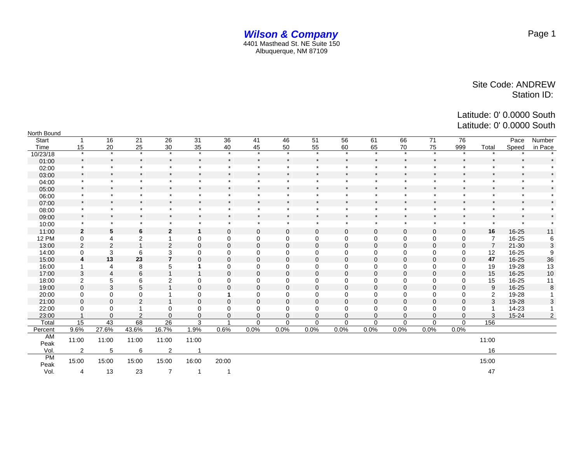#### *Wilson & Company* 4401 Masthead St. NE Suite 150 Albuquerque, NM 87109

Latitude: 0' 0.0000 South Latitude: 0' 0.0000 South

| North Bound       |                |                 |                |                |                |                |              |              |              |              |              |              |                |                      |                |           |                |
|-------------------|----------------|-----------------|----------------|----------------|----------------|----------------|--------------|--------------|--------------|--------------|--------------|--------------|----------------|----------------------|----------------|-----------|----------------|
| Start             |                | 16              | 21             | 26             | 31             | 36             | 41           | 46           | 51           | 56           | 61           | 66           | 71             | 76                   |                | Pace      | Number         |
| Time              | 15             | 20              | 25             | 30             | 35             | 40             | 45           | 50           | 55           | 60           | 65           | 70           | 75             | 999                  | Total          | Speed     | in Pace        |
| 10/23/18          | $\star$        | $\star$         | $\star$        | $\star$        | $\star$        | $\star$        | $\star$      | $\star$      | $\star$      | $\star$      | $\star$      | $\star$      | $\star$        | $\star$              |                |           |                |
| 01:00             | $\star$        | $\star$         | $\star$        | $\star$        | $\star$        | $\star$        | $\star$      | $\star$      | $\star$      | $\star$      | $\star$      | $\star$      | $\pmb{\ast}$   |                      | $\star$        | $\star$   |                |
| 02:00             | $\star$        | $\star$         | $\star$        | $\star$        | $\star$        | $\star$        | $\star$      | $\star$      | $\star$      | $\star$      | $\star$      | $\star$      | $\star$        | $\ddot{\phantom{1}}$ | $\star$        | $\star$   |                |
| 03:00             | $\star$        | $\star$         | $\star$        | $\star$        | $\star$        | $\ast$         | $\star$      | $\star$      | $\star$      | $\star$      | $\star$      | $\pmb{\ast}$ | $\pmb{\ast}$   | $\star$              | $\star$        | $\star$   |                |
| 04:00             | $\ast$         | $\star$         | $\star$        | $\star$        |                | $\star$        | $\star$      | $\star$      | $\star$      | $\star$      | $\star$      | $\star$      | $\star$        |                      | $\star$        | $\star$   |                |
| 05:00             | $\star$        | $\star$         | $\star$        | $\star$        |                | $\star$        | $\star$      | $\star$      | $\star$      | $\star$      | $\star$      | $\star$      | $\star$        | $\star$              | $\star$        | $\star$   |                |
| 06:00             | $\star$        | $\star$         | $\star$        | $\star$        | $\star$        | $\star$        | $\star$      | $\star$      | $\star$      | $\star$      | $\star$      | $\star$      | $\star$        | $\cdot$              | $\star$        | $\star$   |                |
| 07:00             | $\star$        | $\star$         | $\star$        | $\star$        | $\star$        | $\star$        | $\star$      | $\star$      | $\star$      | $\star$      | $\star$      | $\star$      | $\star$        |                      | $\star$        | $\star$   |                |
| 08:00             | $\star$        | $\star$         | $\star$        | $\star$        | $\star$        | $\star$        | $\star$      | $\star$      | $\star$      | $\star$      | $\star$      | $\star$      | $\star$        | $\star$              | $\star$        | $\star$   |                |
| 09:00             | $\star$        | $\star$         | $\star$        | $\star$        | $\star$        | $\star$        | $\star$      | $\star$      | $\star$      | $\star$      | $\star$      | $\star$      | $\star$        | $\star$              | $\star$        | $\star$   |                |
| 10:00             | $\star$        | $\star$         | $\star$        | $\star$        | $\star$        | $\star$        | $\star$      | $\star$      | $\star$      | $\star$      | $\pmb{\ast}$ | $\star$      | $\star$        | $\star$              | $\star$        | $\star$   |                |
| 11:00             | $\mathbf{2}$   | $5\phantom{.0}$ | 6              | $\mathbf{2}$   | 1              | $\mathbf 0$    | $\mathbf{0}$ | $\mathbf{0}$ | $\mathbf{0}$ | $\mathbf 0$  | $\mathbf 0$  | 0            | $\mathbf 0$    | $\mathbf 0$          | 16             | 16-25     | 11             |
| <b>12 PM</b>      | $\mathbf 0$    | $\overline{4}$  | 2              |                | 0              | $\mathbf 0$    | 0            | $\mathbf 0$  | $\mathbf 0$  | $\mathbf 0$  | 0            | 0            | $\mathbf 0$    | $\mathbf 0$          | $\overline{7}$ | 16-25     | 6              |
| 13:00             | 2              | $\overline{2}$  | $\overline{1}$ | $\overline{2}$ | $\Omega$       | $\Omega$       | $\Omega$     | $\Omega$     | $\Omega$     | $\Omega$     | $\Omega$     | $\mathbf{0}$ | $\mathbf 0$    | $\Omega$             | $\overline{7}$ | $21 - 30$ | 3              |
| 14:00             | $\mathbf 0$    | 3               | 6              | 3              | 0              | $\mathbf 0$    | $\mathbf 0$  | $\mathbf 0$  | $\mathbf 0$  | $\mathbf 0$  | $\mathbf 0$  | $\mathbf 0$  | $\mathbf 0$    | $\mathbf 0$          | 12             | 16-25     | 9              |
| 15:00             | 4              | 13              | 23             | $\overline{7}$ | $\mathbf{0}$   | $\mathbf 0$    | $\mathbf 0$  | $\mathbf{0}$ | $\Omega$     | $\mathbf{0}$ | $\Omega$     | $\mathbf{0}$ | $\mathbf 0$    | $\mathbf 0$          | 47             | 16-25     | 36             |
| 16:00             |                | $\overline{4}$  | 8              | 5              | 1              | $\mathbf 0$    | $\Omega$     | $\Omega$     | $\Omega$     | $\Omega$     | $\Omega$     | 0            | $\Omega$       | $\Omega$             | 19             | 19-28     | 13             |
| 17:00             | 3              | $\overline{4}$  | 6              | $\overline{1}$ | $\overline{1}$ | $\mathbf 0$    | $\mathbf{0}$ | $\mathbf{0}$ | $\mathbf{0}$ | $\mathbf{0}$ | $\mathbf 0$  | $\mathbf 0$  | $\mathbf 0$    | $\mathbf 0$          | 15             | 16-25     | 10             |
| 18:00             | 2              | 5               | 6              | $\overline{c}$ | 0              | $\mathbf 0$    | $\mathbf 0$  | $\mathbf 0$  | $\mathbf 0$  | $\mathbf 0$  | 0            | 0            | $\Omega$       | $\mathbf 0$          | 15             | 16-25     | 11             |
| 19:00             | $\mathbf 0$    | 3               | 5              |                | 0              | $\mathbf 0$    | $\mathbf 0$  | $\mathbf{0}$ | $\mathbf{0}$ | $\mathbf 0$  | $\mathbf 0$  | 0            | $\overline{0}$ | $\mathbf 0$          | 9              | 16-25     | 8              |
| 20:00             | $\mathbf 0$    | $\mathbf 0$     | $\mathbf 0$    |                | 0              | -1             | 0            | $\mathbf 0$  | $\mathbf 0$  | $\mathbf 0$  | 0            | 0            | $\mathbf 0$    | 0                    | $\overline{2}$ | 19-28     |                |
| 21:00             | $\mathbf{0}$   | $\mathbf{0}$    | $\overline{2}$ |                | $\mathbf 0$    | $\Omega$       | $\Omega$     | $\Omega$     | $\Omega$     | $\Omega$     | $\Omega$     | $\Omega$     | $\Omega$       | $\Omega$             | 3              | 19-28     | 3              |
| 22:00             | 0              | 0               | 1              | 0              | 0              | $\mathbf 0$    | $\mathbf 0$  | $\mathbf 0$  | $\Omega$     | $\Omega$     | $\Omega$     | $\mathbf 0$  | $\mathbf 0$    | $\mathbf 0$          |                | 14-23     |                |
| 23:00             |                | $\Omega$        | 2              | $\Omega$       | $\Omega$       | $\mathbf 0$    | $\Omega$     | $\Omega$     | $\Omega$     | $\mathbf{0}$ | $\Omega$     | 0            | $\Omega$       | $\Omega$             | 3              | $15 - 24$ | $\overline{2}$ |
| Total             | 15             | 43              | 68             | 26             | 3              | $\overline{ }$ | $\Omega$     | $\Omega$     | $\mathbf 0$  | $\mathbf 0$  | $\mathbf 0$  | 0            | $\mathbf 0$    | $\mathbf 0$          | 156            |           |                |
| Percent           | 9.6%           | 27.6%           | 43.6%          | 16.7%          | 1.9%           | 0.6%           | 0.0%         | 0.0%         | 0.0%         | 0.0%         | 0.0%         | 0.0%         | 0.0%           | 0.0%                 |                |           |                |
| AM<br>Peak        | 11:00          | 11:00           | 11:00          | 11:00          | 11:00          |                |              |              |              |              |              |              |                |                      | 11:00          |           |                |
| Vol.              | $\overline{2}$ | 5               | 6              | $\overline{2}$ |                |                |              |              |              |              |              |              |                |                      | 16             |           |                |
| <b>PM</b><br>Peak | 15:00          | 15:00           | 15:00          | 15:00          | 16:00          | 20:00          |              |              |              |              |              |              |                |                      | 15:00          |           |                |
| Vol.              | 4              | 13              | 23             | $\overline{7}$ | 1              | -1             |              |              |              |              |              |              |                |                      | 47             |           |                |

Page 1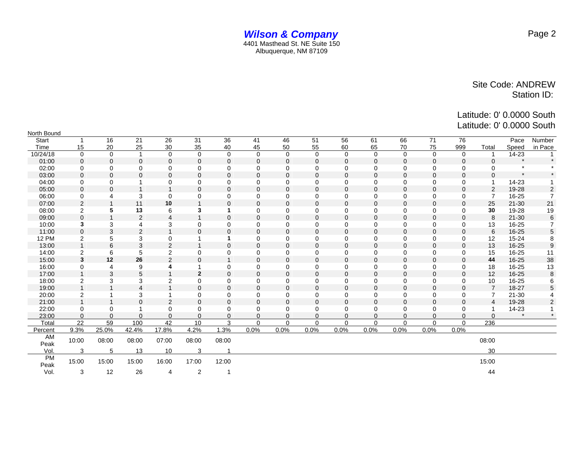Latitude: 0' 0.0000 South Latitude: 0' 0.0000 South

| North Bound  |                |                |                |                |                |                |              |             |                |             |              |                |              |             |                |           |                         |
|--------------|----------------|----------------|----------------|----------------|----------------|----------------|--------------|-------------|----------------|-------------|--------------|----------------|--------------|-------------|----------------|-----------|-------------------------|
| <b>Start</b> |                | 16             | 21             | 26             | 31             | 36             | 41           | 46          | 51             | 56          | 61           | 66             | 71           | 76          |                | Pace      | Number                  |
| Time         | 15             | 20             | 25             | 30             | 35             | 40             | 45           | 50          | 55             | 60          | 65           | 70             | 75           | 999         | Total          | Speed     | in Pace                 |
| 10/24/18     | $\mathbf 0$    | $\mathbf 0$    | $\overline{1}$ | $\mathbf 0$    | $\mathbf 0$    | $\mathbf 0$    | $\mathbf 0$  | $\mathbf 0$ | $\mathbf 0$    | $\mathbf 0$ | $\mathbf 0$  | $\mathbf 0$    | $\mathbf 0$  | $\mathbf 0$ |                | 14-23     |                         |
| 01:00        | $\mathbf{0}$   | $\mathbf 0$    | $\mathbf 0$    | $\mathbf 0$    | $\mathbf{0}$   | $\mathbf 0$    | $\mathbf{0}$ | $\Omega$    | 0              | $\mathbf 0$ | $\mathbf{0}$ | $\mathbf 0$    | 0            | $\mathbf 0$ | $\Omega$       |           |                         |
| 02:00        | 0              | $\Omega$       | $\mathbf 0$    | $\Omega$       | 0              | $\Omega$       | 0            | 0           | $\Omega$       | $\Omega$    | $\Omega$     | $\Omega$       | 0            | $\Omega$    | $\Omega$       | $\star$   |                         |
| 03:00        | $\mathbf{0}$   | $\mathbf 0$    | $\mathbf{0}$   | $\mathbf 0$    | $\mathbf{0}$   | $\mathbf 0$    | $\mathbf{0}$ | $\Omega$    | $\mathbf{0}$   | $\mathbf 0$ | $\mathbf{0}$ | $\mathbf 0$    | 0            | $\Omega$    | $\Omega$       | $\star$   |                         |
| 04:00        | 0              | 0              |                | 0              | 0              | 0              | $\mathbf 0$  | 0           | 0              | $\mathbf 0$ | $\mathbf 0$  | 0              | 0            | $\mathbf 0$ |                | 14-23     |                         |
| 05:00        | 0              | $\mathbf 0$    | $\overline{1}$ |                | 0              | $\overline{0}$ | $\mathbf 0$  | 0           | 0              | $\mathbf 0$ | $\mathbf{0}$ | $\overline{0}$ | 0            | $\mathbf 0$ | 2              | 19-28     | $\overline{\mathbf{c}}$ |
| 06:00        | 0              | $\overline{4}$ | 3              | 0              | 0              | $\Omega$       | $\Omega$     | 0           | $\Omega$       | $\Omega$    | $\Omega$     | 0              | $\mathbf 0$  | $\Omega$    | $\overline{7}$ | 16-25     | $\overline{7}$          |
| 07:00        | $\overline{2}$ |                | 11             | 10             |                | $\Omega$       | $\Omega$     | $\Omega$    | $\Omega$       | $\Omega$    | $\Omega$     | $\Omega$       | $\mathbf{0}$ | $\Omega$    | 25             | $21 - 30$ | 21                      |
| 08:00        | $\overline{c}$ | 5              | 13             | 6              | 3              | 1              | $\Omega$     | 0           | $\Omega$       | $\Omega$    | $\Omega$     | 0              | 0            | $\Omega$    | 30             | 19-28     | 19                      |
| 09:00        | 0              | $\overline{1}$ | $\overline{2}$ | 4              | $\overline{1}$ | $\mathbf 0$    | $\mathbf{0}$ | $\Omega$    | $\mathbf{0}$   | $\Omega$    | $\mathbf{0}$ | $\mathbf{0}$   | $\mathbf{0}$ | $\mathbf 0$ | 8              | $21 - 30$ | 6                       |
| 10:00        | 3              | 3              | 4              | 3              | 0              | $\Omega$       | 0            | 0           | 0              | $\mathbf 0$ | 0            | 0              | 0            | $\mathbf 0$ | 13             | 16-25     | 7                       |
| 11:00        | $\mathbf 0$    | 3              | 2              | $\overline{1}$ | 0              | $\mathbf 0$    | $\mathbf 0$  | $\Omega$    | $\overline{0}$ | $\mathbf 0$ | $\mathbf{0}$ | $\mathbf 0$    | $\mathbf 0$  | $\mathbf 0$ | 6              | $16 - 25$ | 5                       |
| <b>12 PM</b> | 2              | 5              | 3              | 0              |                | 1              | 0            | 0           | $\mathbf 0$    | $\mathbf 0$ | $\mathbf 0$  | 0              | 0            | $\mathbf 0$ | 12             | 15-24     | 8                       |
| 13:00        | $\mathbf{1}$   | 6              | 3              | $\overline{2}$ | $\overline{1}$ | $\mathbf 0$    | $\Omega$     | $\Omega$    | 0              | $\Omega$    | $\Omega$     | $\Omega$       | 0            | $\Omega$    | 13             | 16-25     | 9                       |
| 14:00        | 2              | 6              | 5              | $\overline{2}$ | 0              | 0              | $\Omega$     | 0           | $\Omega$       | $\Omega$    | $\mathbf 0$  | 0              | $\mathbf 0$  | $\Omega$    | 15             | 16-25     | 11                      |
| 15:00        | 3              | 12             | 26             | 2              | 0              |                | $\Omega$     | $\Omega$    | $\Omega$       | $\Omega$    | $\Omega$     | $\Omega$       | $\Omega$     | $\Omega$    | 44             | 16-25     | 38                      |
| 16:00        | 0              | $\overline{4}$ | 9              | 4              |                | 0              | 0            | 0           | 0              | $\Omega$    | $\mathbf 0$  | $\Omega$       | $\mathbf 0$  | $\mathbf 0$ | 18             | 16-25     | 13                      |
| 17:00        | $\overline{1}$ | 3              | 5              | $\overline{1}$ | $\mathbf{2}$   | $\mathbf 0$    | $\mathbf 0$  | $\Omega$    | $\overline{0}$ | $\mathbf 0$ | $\mathbf{0}$ | $\overline{0}$ | 0            | $\mathbf 0$ | 12             | $16 - 25$ | $\bf 8$                 |
| 18:00        | $\overline{2}$ | 3              | 3              | $\overline{2}$ | 0              | $\Omega$       | 0            | 0           | 0              | $\Omega$    | $\Omega$     | 0              | 0            | $\Omega$    | 10             | 16-25     | 6                       |
| 19:00        |                |                | $\overline{4}$ |                | 0              | $\mathbf 0$    | $\mathbf 0$  | $\Omega$    | $\overline{0}$ | $\Omega$    | $\Omega$     | $\overline{0}$ | 0            | $\Omega$    | $\overline{7}$ | 18-27     | 5                       |
| 20:00        | 2              |                | 3              |                | 0              | $\mathbf 0$    | 0            | 0           | 0              | $\mathbf 0$ | $\mathbf 0$  | 0              | 0            | $\Omega$    | 7              | $21 - 30$ |                         |
| 21:00        | $\overline{1}$ | $\overline{1}$ | $\mathbf 0$    | $\overline{2}$ | 0              | $\overline{0}$ | $\Omega$     | $\Omega$    | $\Omega$       | $\Omega$    | $\Omega$     | $\Omega$       | 0            | $\Omega$    | $\overline{4}$ | 19-28     | $\overline{\mathbf{c}}$ |
| 22:00        | $\mathbf 0$    | 0              |                | 0              | 0              | 0              | 0            | 0           | 0              | 0           | $\mathbf 0$  | $\Omega$       | $\mathbf 0$  | $\Omega$    |                | 14-23     |                         |
| 23:00        | $\Omega$       | $\Omega$       | $\Omega$       | $\Omega$       | $\Omega$       | $\Omega$       | $\Omega$     | $\Omega$    | $\Omega$       | $\Omega$    | $\Omega$     | $\Omega$       | $\Omega$     | $\Omega$    | $\Omega$       | $\star$   |                         |
| Total        | 22             | 59             | 100            | 42             | 10             | 3              | $\Omega$     | $\Omega$    | $\Omega$       | $\Omega$    | $\mathbf 0$  | $\Omega$       | $\Omega$     | $\Omega$    | 236            |           |                         |
| Percent      | 9.3%           | 25.0%          | 42.4%          | 17.8%          | 4.2%           | 1.3%           | 0.0%         | 0.0%        | 0.0%           | 0.0%        | 0.0%         | 0.0%           | 0.0%         | 0.0%        |                |           |                         |
| AM<br>Peak   | 10:00          | 08:00          | 08:00          | 07:00          | 08:00          | 08:00          |              |             |                |             |              |                |              |             | 08:00          |           |                         |
| Vol.         | 3              | 5              | 13             | 10             | 3              |                |              |             |                |             |              |                |              |             | 30             |           |                         |
| PM<br>Peak   | 15:00          | 15:00          | 15:00          | 16:00          | 17:00          | 12:00          |              |             |                |             |              |                |              |             | 15:00          |           |                         |
| Vol.         | 3              | 12             | 26             | 4              | 2              | 1              |              |             |                |             |              |                |              |             | 44             |           |                         |

Page 2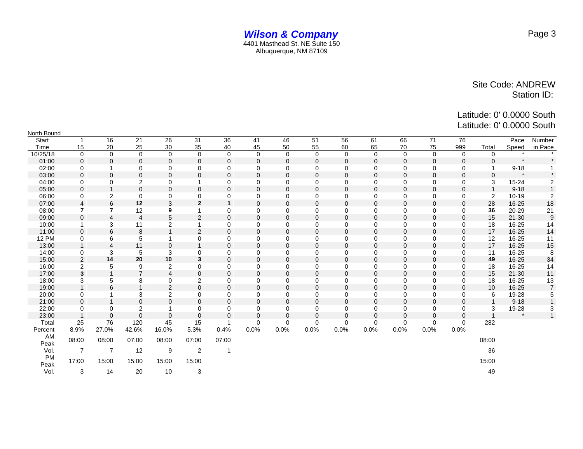Latitude: 0' 0.0000 South

Latitude: 0' 0.0000 South

| North Bound       |                |                         |                  |                         |                |              |              |          |          |             |              |              |             |             |                         |           |                  |
|-------------------|----------------|-------------------------|------------------|-------------------------|----------------|--------------|--------------|----------|----------|-------------|--------------|--------------|-------------|-------------|-------------------------|-----------|------------------|
| Start             |                | 16                      | 21               | 26                      | 31             | 36           | 41           | 46       | 51       | 56          | 61           | 66           | 71          | 76          |                         | Pace      | Number           |
| Time              | 15             | 20                      | 25               | 30                      | 35             | 40           | 45           | 50       | 55       | 60          | 65           | 70           | 75          | 999         | Total                   | Speed     | in Pace          |
| 10/25/18          | $\Omega$       | $\Omega$                | $\mathbf 0$      | $\mathbf 0$             | $\mathbf 0$    | $\mathbf 0$  | $\Omega$     | $\Omega$ | $\Omega$ | $\mathbf 0$ | $\mathbf 0$  | $\mathbf 0$  | $\mathbf 0$ | $\mathbf 0$ | $\Omega$                | $\bullet$ | $\bullet$        |
| 01:00             | $\Omega$       | $\Omega$                | $\Omega$         | $\Omega$                | $\Omega$       | $\Omega$     | $\Omega$     | $\Omega$ | $\Omega$ | $\Omega$    | $\Omega$     | $\Omega$     | $\Omega$    | $\Omega$    |                         | $\star$   |                  |
| 02:00             | $\mathbf 0$    |                         | $\mathbf 0$      | $\mathbf 0$             | $\mathbf 0$    | $\mathbf 0$  | $\mathbf 0$  | $\Omega$ | 0        | $\mathbf 0$ | $\mathbf 0$  | $\mathbf 0$  | $\mathbf 0$ | $\mathbf 0$ |                         | $9 - 18$  |                  |
| 03:00             | $\Omega$       | $\mathbf 0$             | $\mathbf 0$      | $\mathbf 0$             | $\mathbf 0$    | $\mathbf 0$  | $\mathbf{0}$ | $\Omega$ | $\Omega$ | $\Omega$    | $\Omega$     | $\mathbf{0}$ | $\Omega$    | 0           | $\Omega$                |           |                  |
| 04:00             | $\mathbf 0$    | 0                       | $\overline{2}$   | $\mathbf 0$             |                | 0            | $\Omega$     | $\Omega$ | $\Omega$ | $\Omega$    | $\Omega$     | $\Omega$     | $\mathbf 0$ | 0           | 3                       | 15-24     | 2                |
| 05:00             | $\Omega$       | $\overline{1}$          | $\pmb{0}$        | $\mathbf 0$             | $\mathbf 0$    | $\mathbf 0$  | $\mathbf{0}$ | $\Omega$ | $\Omega$ | $\Omega$    | $\Omega$     | $\mathbf 0$  | $\Omega$    | $\mathbf 0$ | $\overline{\mathbf{1}}$ | $9 - 18$  | $\overline{1}$   |
| 06:00             | $\mathbf 0$    | $\overline{c}$          | $\mathbf 0$      | $\mathbf 0$             | $\mathbf 0$    | $\Omega$     | $\mathbf 0$  | $\Omega$ | 0        | $\mathbf 0$ | $\mathbf 0$  | $\mathbf 0$  | $\mathbf 0$ | 0           | 2                       | $10 - 19$ | $\overline{2}$   |
| 07:00             | $\overline{4}$ | 6                       | 12               | 3                       | $\overline{2}$ | $\mathbf{1}$ | $\mathbf 0$  | $\Omega$ | 0        | $\mathbf 0$ | $\mathbf{0}$ | $\mathbf 0$  | $\mathbf 0$ | $\mathbf 0$ | 28                      | 16-25     | 18               |
| 08:00             | 7              | $\overline{7}$          | 12               | 9                       |                | $\Omega$     | $\Omega$     | $\Omega$ | 0        | $\mathbf 0$ | $\mathbf 0$  | $\mathbf 0$  | $\mathbf 0$ | 0           | 36                      | 20-29     | 21               |
| 09:00             | $\Omega$       | $\overline{4}$          | $\overline{4}$   | 5                       | $\overline{2}$ | $\Omega$     | $\Omega$     | $\Omega$ | $\Omega$ | $\Omega$    | $\Omega$     | $\Omega$     | $\Omega$    | $\Omega$    | 15                      | $21 - 30$ | $\boldsymbol{9}$ |
| 10:00             |                | 3                       | 11               | 2                       |                | $\mathbf 0$  | $\Omega$     | $\Omega$ | $\Omega$ | $\mathbf 0$ | $\mathbf 0$  | $\mathbf 0$  | $\mathbf 0$ | $\mathbf 0$ | 18                      | $16 - 25$ | 14               |
| 11:00             | $\Omega$       | 6                       | 8                | 1                       | $\overline{2}$ | $\Omega$     | $\Omega$     | $\Omega$ | $\Omega$ | $\Omega$    | $\Omega$     | $\mathbf{0}$ | $\Omega$    | $\mathbf 0$ | 17                      | 16-25     | 14               |
| <b>12 PM</b>      | 0              | 6                       | 5                | 1                       | 0              | $\Omega$     | $\Omega$     | $\Omega$ | 0        | $\Omega$    | $\Omega$     | $\Omega$     | $\mathbf 0$ | 0           | 12                      | 16-25     | 11               |
| 13:00             |                | $\overline{4}$          | 11               | $\mathbf 0$             | $\overline{1}$ | $\Omega$     | $\Omega$     | $\Omega$ | $\Omega$ | $\Omega$    | $\Omega$     | $\mathbf{0}$ | $\Omega$    | $\mathbf 0$ | 17                      | 16-25     | 15               |
| 14:00             | 0              | 3                       | 5                | 3                       | 0              | $\Omega$     | $\mathbf 0$  | $\Omega$ | 0        | 0           | $\mathbf 0$  | $\mathbf 0$  | $\mathbf 0$ | 0           | 11                      | 16-25     | 8                |
| 15:00             | 2              | 14                      | 20               | 10                      | 3              | $\mathbf 0$  | $\mathbf 0$  | $\Omega$ | 0        | $\mathbf 0$ | $\mathbf{0}$ | $\mathbf 0$  | $\mathbf 0$ | $\mathbf 0$ | 49                      | 16-25     | 34               |
| 16:00             | $\overline{2}$ | 5                       | 9                | $\overline{\mathbf{c}}$ | 0              | $\Omega$     | $\Omega$     | $\Omega$ | 0        | $\mathbf 0$ | 0            | 0            | $\mathbf 0$ | 0           | 18                      | 16-25     | 14               |
| 17:00             | 3              |                         | $\overline{7}$   | $\overline{4}$          | $\Omega$       | $\Omega$     | $\Omega$     | $\Omega$ | $\Omega$ | $\Omega$    | $\Omega$     | $\Omega$     | $\Omega$    | $\Omega$    | 15                      | $21 - 30$ | 11               |
| 18:00             | 3              | 5                       | 8                | $\mathbf 0$             | 2              | $\Omega$     | $\Omega$     | $\Omega$ | $\Omega$ | $\mathbf 0$ | $\Omega$     | $\Omega$     | $\mathbf 0$ | $\mathbf 0$ | 18                      | 16-25     | 13               |
| 19:00             |                | 6                       | $\overline{ }$   | $\overline{2}$          | 0              | $\Omega$     | $\mathbf{0}$ | $\Omega$ | $\Omega$ | $\Omega$    | $\Omega$     | $\Omega$     | $\Omega$    | $\Omega$    | 10                      | 16-25     | $\overline{7}$   |
| 20:00             | $\mathbf 0$    |                         | 3                | 2                       | $\mathbf 0$    | $\mathbf 0$  | $\mathbf 0$  | $\Omega$ | $\Omega$ | $\Omega$    | $\mathbf 0$  | $\mathbf 0$  | $\mathbf 0$ | 0           | 6                       | 19-28     | 5                |
| 21:00             | $\Omega$       | $\overline{\mathbf{A}}$ | $\mathbf 0$      | $\mathbf 0$             | $\mathbf 0$    | $\mathbf 0$  | $\mathbf{0}$ | $\Omega$ | $\Omega$ | $\Omega$    | $\Omega$     | $\Omega$     | $\Omega$    | $\mathbf 0$ |                         | $9 - 18$  |                  |
| 22:00             | $\mathbf 0$    | 0                       | $\boldsymbol{2}$ | 1                       | $\mathbf 0$    | $\mathbf 0$  | $\mathbf 0$  | $\Omega$ | 0        | $\mathbf 0$ | $\mathbf 0$  | $\mathbf 0$  | $\mathbf 0$ | 0           | 3                       | 19-28     | 3                |
| 23:00             |                | $\Omega$                | $\overline{0}$   | $\mathbf 0$             | $\mathbf 0$    | $\mathbf 0$  | $\mathbf{0}$ | $\Omega$ | $\Omega$ | $\mathbf 0$ | $\mathbf{0}$ | $\mathbf{0}$ | $\Omega$    | $\mathbf 0$ |                         | $\star$   |                  |
| Total             | 25             | 76                      | 120              | 45                      | 15             |              | $\Omega$     | $\Omega$ | $\Omega$ | $\Omega$    | $\Omega$     | $\Omega$     | $\Omega$    | $\Omega$    | 282                     |           |                  |
| Percent           | 8.9%           | 27.0%                   | 42.6%            | 16.0%                   | 5.3%           | 0.4%         | 0.0%         | 0.0%     | 0.0%     | 0.0%        | 0.0%         | 0.0%         | 0.0%        | 0.0%        |                         |           |                  |
| AM<br>Peak        | 08:00          | 08:00                   | 07:00            | 08:00                   | 07:00          | 07:00        |              |          |          |             |              |              |             |             | 08:00                   |           |                  |
| Vol.              | $\overline{7}$ | $\overline{7}$          | 12               | 9                       | $\overline{2}$ |              |              |          |          |             |              |              |             |             | 36                      |           |                  |
| <b>PM</b><br>Peak | 17:00          | 15:00                   | 15:00            | 15:00                   | 15:00          |              |              |          |          |             |              |              |             |             | 15:00                   |           |                  |
| Vol.              | 3              | 14                      | 20               | 10                      | 3              |              |              |          |          |             |              |              |             |             | 49                      |           |                  |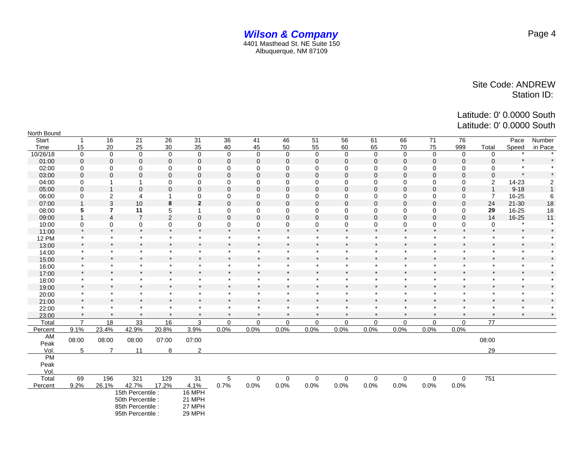| North Bound  |                |                |                   |              |                 |             |             |              |                |             |             |             |             |                |                |           |                  |
|--------------|----------------|----------------|-------------------|--------------|-----------------|-------------|-------------|--------------|----------------|-------------|-------------|-------------|-------------|----------------|----------------|-----------|------------------|
| <b>Start</b> | $\overline{1}$ | 16             | 21                | 26           | 31              | 36          | 41          | 46           | 51             | 56          | 61          | 66          | 71          | 76             |                | Pace      | Number           |
| Time         | 15             | 20             | 25                | 30           | 35              | 40          | 45          | 50           | 55             | 60          | 65          | 70          | 75          | 999            | Total          | Speed     | in Pace          |
| 10/26/18     | $\mathbf 0$    | $\mathbf 0$    | $\mathbf 0$       | $\mathbf 0$  | $\mathbf 0$     | $\mathbf 0$ | $\mathbf 0$ | $\mathbf 0$  | $\mathbf 0$    | $\mathbf 0$ | $\mathbf 0$ | $\mathbf 0$ | $\mathbf 0$ | $\mathbf 0$    | $\mathbf 0$    |           |                  |
| 01:00        | $\mathbf{0}$   | $\mathbf{0}$   | $\mathbf 0$       | $\mathbf 0$  | 0               | $\mathbf 0$ | $\mathbf 0$ | $\Omega$     | $\mathbf{0}$   | $\mathbf 0$ | $\mathbf 0$ | $\Omega$    | 0           | $\Omega$       | $\Omega$       | $\star$   | $\star$          |
| 02:00        | $\mathbf 0$    | $\mathbf 0$    | 0                 | $\mathbf 0$  | $\mathbf 0$     | $\mathbf 0$ | $\mathbf 0$ | $\mathbf 0$  | $\mathbf 0$    | $\mathbf 0$ | $\mathbf 0$ | 0           | $\mathbf 0$ | $\mathbf 0$    | 0              | $\star$   | $\star$          |
| 03:00        | $\mathbf{0}$   | $\mathbf 0$    | $\mathbf 0$       | $\pmb{0}$    | $\pmb{0}$       | $\pmb{0}$   | $\pmb{0}$   | $\mathbf 0$  | $\overline{0}$ | $\Omega$    | $\Omega$    | $\Omega$    | $\mathbf 0$ | $\overline{0}$ | $\Omega$       | $\star$   | $\star$          |
| 04:00        | 0              | 1              | 1                 | 0            | 0               | 0           | 0           | 0            | $\mathbf 0$    | 0           | 0           | 0           | 0           | 0              | 2              | 14-23     | $\boldsymbol{2}$ |
| 05:00        | $\Omega$       | $\overline{1}$ | $\mathbf{0}$      | $\mathbf 0$  | $\mathbf 0$     | $\mathbf 0$ | $\mathbf 0$ | $\mathbf{0}$ | $\mathbf{0}$   | $\Omega$    | $\Omega$    | $\Omega$    | 0           | $\Omega$       | -1             | $9 - 18$  | $\mathbf{1}$     |
| 06:00        | 0              | 2              | 4                 | $\mathbf{1}$ | 0               | $\mathbf 0$ | $\mathbf 0$ | $\mathbf 0$  | $\mathbf 0$    | $\mathbf 0$ | $\mathbf 0$ | 0           | $\mathbf 0$ | $\mathbf 0$    | $\overline{7}$ | 16-25     | 6                |
| 07:00        | 1              | 3              | 10                | 8            | $\mathbf{2}$    | $\mathbf 0$ | $\mathbf 0$ | $\mathbf{0}$ | $\mathbf 0$    | $\mathbf 0$ | $\mathbf 0$ | $\mathbf 0$ | 0           | $\mathbf 0$    | 24             | $21 - 30$ | 18               |
| 08:00        | 5              | $\overline{7}$ | 11                | 5            | $\mathbf{1}$    | $\mathbf 0$ | $\mathbf 0$ | 0            | 0              | 0           | 0           | 0           | 0           | 0              | 29             | 16-25     | 18               |
| 09:00        | $\overline{1}$ | $\overline{4}$ | $\overline{7}$    | 2            | $\mathbf 0$     | $\mathbf 0$ | $\mathbf 0$ | $\Omega$     | $\Omega$       | $\Omega$    | $\Omega$    | $\Omega$    | $\mathbf 0$ | $\mathbf 0$    | 14             | 16-25     | 11               |
| 10:00        | 0              | 0              | 0                 | 0            | 0               | 0           | 0           | 0            | 0              | $\mathbf 0$ | 0           | 0           | 0           | 0              | $\mathbf 0$    | $\star$   |                  |
| 11:00        | $\star$        | $\star$        | $\star$           | $\star$      | $\star$         | $\star$     | $\star$     | $\bullet$    | $\star$        | $\star$     | $\star$     | $\star$     | $\star$     | $\star$        | $\star$        | $\star$   | $\star$          |
| <b>12 PM</b> | $\star$        | $\star$        | $\star$           | $\star$      | $\star$         | $\star$     | $\star$     | $\star$      | $\star$        | $\star$     | $\star$     | $\star$     | $\star$     | $\star$        | $\star$        | $\star$   |                  |
| 13:00        | $\star$        | $\star$        | $\star$           | $\star$      | $\star$         | $\star$     | $\star$     | $\star$      | $\star$        | $\star$     | $\star$     | $\star$     | $\star$     | $\star$        | $\star$        | $\star$   | $\star$          |
| 14:00        | $\star$        | $\star$        | $\star$           | $\star$      | $\star$         | $\star$     | $\star$     | $\star$      | $\star$        | $\star$     | $\star$     | $\star$     | $\star$     | $\star$        | $\star$        | $\star$   |                  |
| 15:00        | $\star$        | $\star$        | $\star$           | $\star$      | $\star$         | $\star$     | $\star$     | $\star$      | $\star$        | $\star$     | $\star$     | $\star$     | $\star$     | $\star$        | $\star$        | $\star$   |                  |
| 16:00        | $\star$        | $\star$        | $\star$           | $\star$      | $\star$         | $\star$     | $\star$     | $\star$      | $\star$        | $\star$     | $\star$     | $\star$     | $\star$     | $\star$        | $\star$        | $\star$   |                  |
| 17:00        | $\star$        | $\star$        | $\star$           | $\star$      | $\star$         | $\star$     | $\star$     |              | $\star$        | $\star$     | $\star$     | $\star$     | $\star$     | $\star$        | $\star$        | $\star$   | $\star$          |
| 18:00        | $\star$        | $\star$        | $\star$           | $\star$      | $\star$         | $\star$     | $\star$     | $\star$      | $\star$        | $\star$     | $\star$     | $\star$     | $\star$     | $\star$        | $\star$        | $\star$   | $\star$          |
| 19:00        | $\star$        | $\star$        | $\star$           | $\star$      | $\star$         | $\star$     | $\star$     | $\star$      | $\star$        | $\star$     | $\star$     | $\star$     | $\star$     | $\star$        | $\star$        | $\star$   |                  |
| 20:00        | $\star$        | $\star$        | $\star$           | $\star$      | $\star$         | $\star$     | $\star$     | $\star$      | $\star$        | $\star$     | $\star$     | $\star$     | $\star$     | $\star$        | $\star$        | $\star$   |                  |
| 21:00        | $\star$        | $\star$        | $\star$           | $\star$      | $\star$         | $\star$     | $\star$     | $\star$      | $\star$        | $\star$     | $\star$     | $\star$     | $\star$     | $\star$        | $\star$        | $\star$   |                  |
| 22:00        | $\star$        | $\star$        | $\star$           | $\star$      | $\star$         | $\star$     | $\star$     | $\star$      | $\star$        | $\star$     | $\star$     | $\star$     | $\star$     | $\star$        | $\star$        | $\star$   |                  |
| 23:00        | $\star$        | $\star$        | $\star$           | $\star$      | $\star$         | $\star$     | $\star$     | $\star$      | $\star$        | $\star$     | $\star$     | $\star$     | $\star$     | $\star$        | $\star$        | $\star$   |                  |
| Total        | $\overline{7}$ | 18             | 33                | 16           | 3               | $\mathbf 0$ | $\mathbf 0$ | $\Omega$     | $\Omega$       | $\mathbf 0$ | $\mathbf 0$ | $\Omega$    | $\mathbf 0$ | $\mathbf 0$    | 77             |           |                  |
| Percent      | 9.1%           | 23.4%          | 42.9%             | 20.8%        | 3.9%            | 0.0%        | 0.0%        | 0.0%         | 0.0%           | 0.0%        | 0.0%        | 0.0%        | 0.0%        | 0.0%           |                |           |                  |
| AM<br>Peak   | 08:00          | 08:00          | 08:00             | 07:00        | 07:00           |             |             |              |                |             |             |             |             |                | 08:00          |           |                  |
| Vol.         | 5              | $\overline{7}$ | 11                | 8            | $\overline{2}$  |             |             |              |                |             |             |             |             |                | 29             |           |                  |
| <b>PM</b>    |                |                |                   |              |                 |             |             |              |                |             |             |             |             |                |                |           |                  |
| Peak         |                |                |                   |              |                 |             |             |              |                |             |             |             |             |                |                |           |                  |
| Vol.         |                |                |                   |              |                 |             |             |              |                |             |             |             |             |                |                |           |                  |
| Total        | 69             | 196            | 321               | 129          | $\overline{31}$ | 5           | $\mathbf 0$ | $\mathbf 0$  | $\mathbf 0$    | 0           | $\mathbf 0$ | $\mathbf 0$ | $\mathbf 0$ | $\mathbf 0$    | 751            |           |                  |
| Percent      | 9.2%           | 26.1%          | 42.7%             | 17.2%        | 4.1%            | 0.7%        | 0.0%        | 0.0%         | 0.0%           | 0.0%        | 0.0%        | 0.0%        | 0.0%        | 0.0%           |                |           |                  |
|              |                |                | 15th Percentile : |              | 16 MPH          |             |             |              |                |             |             |             |             |                |                |           |                  |
|              |                |                | 50th Percentile : |              | 21 MPH          |             |             |              |                |             |             |             |             |                |                |           |                  |
|              |                |                | 85th Percentile : |              | 27 MPH          |             |             |              |                |             |             |             |             |                |                |           |                  |
|              |                |                | 95th Percentile : |              | 29 MPH          |             |             |              |                |             |             |             |             |                |                |           |                  |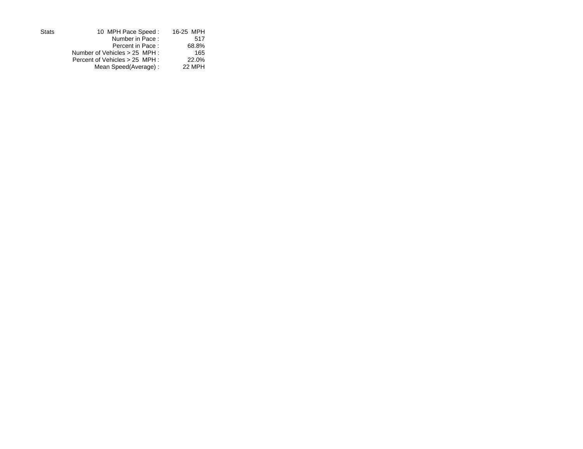| <b>Stats</b> | 10 MPH Pace Speed:             | 16-25 MPH |
|--------------|--------------------------------|-----------|
|              | Number in Pace:                | 517       |
|              | Percent in Pace:               | 68.8%     |
|              | Number of Vehicles > 25 MPH :  | 165       |
|              | Percent of Vehicles > 25 MPH : | 22.0%     |
|              | Mean Speed(Average):           | 22 MPH    |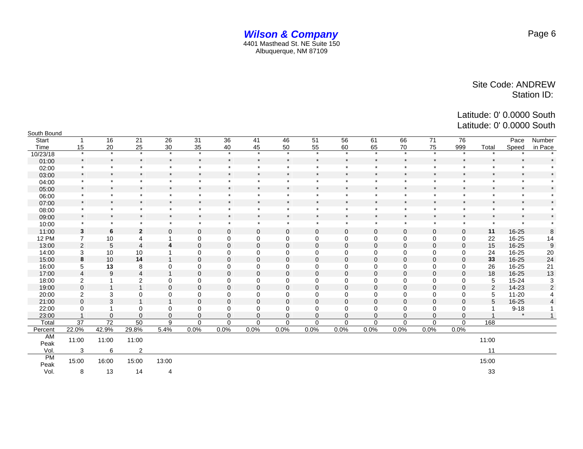| South Bound  |                         |                 |                |                         |              |              |              |             |              |              |              |              |             |                |         |           |                  |
|--------------|-------------------------|-----------------|----------------|-------------------------|--------------|--------------|--------------|-------------|--------------|--------------|--------------|--------------|-------------|----------------|---------|-----------|------------------|
| Start        |                         | 16              | 21             | 26                      | 31           | 36           | 41           | 46          | 51           | 56           | 61           | 66           | 71          | 76             |         | Pace      | Number           |
| Time         | 15                      | 20              | 25             | 30                      | 35           | 40           | 45           | 50          | 55           | 60           | 65           | 70           | 75          | 999            | Total   | Speed     | in Pace          |
| 10/23/18     | $\star$                 | $\star$         | $\star$        | $\star$                 | $\star$      | $\star$      | $\star$      | $\star$     | $\star$      | $\star$      | $\star$      | $\star$      | $\star$     | $\star$        |         |           |                  |
| 01:00        | $\star$                 | $\star$         | $\star$        | $\star$                 | $\pmb{\ast}$ | $\pmb{\ast}$ | $\star$      | $\star$     | $\star$      | $\star$      | $\star$      | $\pmb{\ast}$ | $\star$     | $\star$        | $\star$ | $\star$   |                  |
| 02:00        | $\star$                 | $\star$         | $\star$        | $\star$                 | $\star$      | $\star$      | $\star$      | $\star$     | $\star$      | $\star$      | $\star$      | $\star$      | $\star$     | $\star$        | $\star$ | $\star$   |                  |
| 03:00        | $\star$                 | $\star$         | $\star$        | $\star$                 | $\star$      | $\star$      | $\star$      | $\star$     | $\star$      | $\star$      | $\star$      | $\star$      | $\star$     | $\star$        | $\star$ | $\star$   |                  |
| 04:00        | $\star$                 | $\star$         | $\star$        | $\star$                 | $\star$      | $\star$      | $\star$      | $\star$     | $\star$      | $\star$      | $\star$      | $\star$      | $\star$     | $\star$        | $\star$ | $\star$   |                  |
| 05:00        | $\star$                 | $\star$         | $\star$        | $\star$                 | $\star$      | $\star$      | $\star$      | $\star$     | $\star$      | $\star$      | $\star$      | $\star$      | $\star$     | $\star$        | $\star$ | $\star$   |                  |
| 06:00        | $\star$                 | $\star$         | $\star$        | $\star$                 | $\star$      | $\star$      | $\star$      | $\star$     | $\star$      | $\star$      | $\star$      | $\star$      | $\star$     | $\star$        | $\star$ | $\star$   |                  |
| 07:00        | $\star$                 | $\star$         | $\star$        | $\star$                 | $\star$      | $\star$      | $\star$      | $\star$     | $\star$      | $\star$      | $\star$      | $\star$      | $\star$     | $\star$        | $\star$ | $\star$   | $\star$          |
| 08:00        | $\star$                 | $\star$         | $\star$        | $\star$                 | $\star$      | $\star$      | $\star$      | $\star$     | $\star$      | $\star$      | $\star$      | $\star$      | $\star$     | $\star$        | $\star$ | $\star$   |                  |
| 09:00        | $\star$                 | $\star$         | $\star$        | $\star$                 | $\star$      | $\star$      | $\star$      | $\star$     | $\star$      | $\star$      | $\star$      | $\star$      | $\star$     | $\star$        | $\star$ | $\star$   |                  |
| 10:00        | $\star$                 | $\star$         | $\star$        | $\star$                 | $\star$      | $\star$      | $\star$      | $\star$     | $\star$      | $\star$      | $\star$      | $\star$      | $\star$     | $\star$        | $\star$ | $\star$   |                  |
| 11:00        | $\mathbf{3}$            | 6               | $\mathbf{2}$   | $\mathbf{0}$            | $\pmb{0}$    | $\mathbf 0$  | $\mathbf 0$  | $\mathbf 0$ | 0            | $\mathbf 0$  | $\mathbf 0$  | $\mathbf 0$  | $\mathbf 0$ | $\mathbf 0$    | 11      | 16-25     | 8                |
| <b>12 PM</b> | $\overline{7}$          | 10              | 4              | 1                       | $\mathbf 0$  | 0            | 0            | 0           | 0            | 0            | 0            | 0            | 0           | 0              | 22      | 16-25     | 14               |
| 13:00        | $\overline{2}$          | 5               | $\overline{4}$ | $\overline{\mathbf{4}}$ | $\mathbf 0$  | $\mathbf 0$  | $\mathbf{0}$ | $\Omega$    | $\mathbf{0}$ | $\mathbf{0}$ | $\mathbf{0}$ | 0            | $\mathbf 0$ | $\mathbf 0$    | 15      | 16-25     | $\boldsymbol{9}$ |
| 14:00        | 3                       | 10              | 10             | $\mathbf 1$             | $\mathbf 0$  | $\mathbf 0$  | 0            | 0           | 0            | $\mathbf 0$  | 0            | $\mathbf 0$  | $\mathbf 0$ | $\mathbf 0$    | 24      | 16-25     | 20               |
| 15:00        | 8                       | 10              | 14             | $\mathbf{1}$            | $\mathbf 0$  | $\mathbf 0$  | $\Omega$     | $\Omega$    | $\Omega$     | $\Omega$     | $\Omega$     | $\mathbf 0$  | $\mathbf 0$ | $\Omega$       | 33      | 16-25     | 24               |
| 16:00        | 5                       | 13              | 8              | 0                       | $\mathbf 0$  | 0            | 0            | $\Omega$    | 0            | $\mathbf 0$  | 0            | 0            | 0           | $\mathbf 0$    | 26      | 16-25     | 21               |
| 17:00        | $\overline{4}$          | 9               | $\overline{4}$ | $\mathbf{1}$            | $\pmb{0}$    | $\mathbf 0$  | $\mathbf 0$  | 0           | 0            | $\mathbf{0}$ | $\mathbf 0$  | 0            | $\mathbf 0$ | $\mathbf 0$    | 18      | 16-25     | 13               |
| 18:00        | $\overline{\mathbf{c}}$ |                 | $\overline{2}$ | 0                       | $\mathbf 0$  | $\mathbf 0$  | $\mathbf 0$  | 0           | $\Omega$     | $\mathbf 0$  | 0            | 0            | $\mathbf 0$ | $\mathbf 0$    | 5       | $15 - 24$ | 3                |
| 19:00        | $\mathbf 0$             | $\overline{ }$  | $\overline{1}$ | $\mathbf{0}$            | $\mathbf 0$  | $\mathbf 0$  | $\mathbf{0}$ | $\Omega$    | $\Omega$     | $\Omega$     | $\Omega$     | $\mathbf 0$  | $\mathbf 0$ | $\overline{0}$ | 2       | $14-23$   | $\overline{2}$   |
| 20:00        | 2                       | 3               | $\mathbf 0$    | 0                       | $\mathbf 0$  | $\mathbf 0$  | 0            | 0           | 0            | 0            | 0            | $\mathbf 0$  | 0           | 0              | 5       | $11 - 20$ |                  |
| 21:00        | $\mathbf 0$             | 3               | $\mathbf{1}$   | $\mathbf{1}$            | $\mathbf 0$  | $\mathbf 0$  | $\mathbf 0$  | $\mathbf 0$ | $\mathbf{0}$ | $\mathbf 0$  | $\Omega$     | $\mathbf 0$  | $\mathbf 0$ | $\mathbf 0$    | 5       | 16-25     | $\overline{4}$   |
| 22:00        | 0                       |                 | $\mathbf 0$    | $\mathbf 0$             | $\mathbf 0$  | $\mathbf 0$  | 0            | 0           | 0            | $\mathbf 0$  | 0            | $\mathbf 0$  | $\mathbf 0$ | $\mathbf 0$    |         | $9 - 18$  |                  |
| 23:00        |                         | $\mathbf 0$     | $\overline{0}$ | $\mathbf{0}$            | $\mathbf 0$  | $\mathbf 0$  | $\mathbf 0$  | $\Omega$    | $\Omega$     | $\Omega$     | $\Omega$     | $\Omega$     | $\Omega$    | $\mathbf 0$    |         | $\star$   | $\mathbf{1}$     |
| Total        | 37                      | $\overline{72}$ | 50             | 9                       | $\Omega$     | $\Omega$     | $\Omega$     | $\Omega$    | $\Omega$     | $\Omega$     | $\Omega$     | $\Omega$     | $\Omega$    | $\mathbf 0$    | 168     |           |                  |
| Percent      | 22.0%                   | 42.9%           | 29.8%          | 5.4%                    | 0.0%         | 0.0%         | 0.0%         | 0.0%        | 0.0%         | 0.0%         | 0.0%         | 0.0%         | 0.0%        | 0.0%           |         |           |                  |
| AM<br>Peak   | 11:00                   | 11:00           | 11:00          |                         |              |              |              |             |              |              |              |              |             |                | 11:00   |           |                  |
| Vol.         | 3                       | 6               | $\overline{2}$ |                         |              |              |              |             |              |              |              |              |             |                | 11      |           |                  |
| <b>PM</b>    | 15:00                   | 16:00           | 15:00          | 13:00                   |              |              |              |             |              |              |              |              |             |                | 15:00   |           |                  |
| Peak         |                         |                 |                |                         |              |              |              |             |              |              |              |              |             |                |         |           |                  |
| Vol.         | 8                       | 13              | 14             | 4                       |              |              |              |             |              |              |              |              |             |                | 33      |           |                  |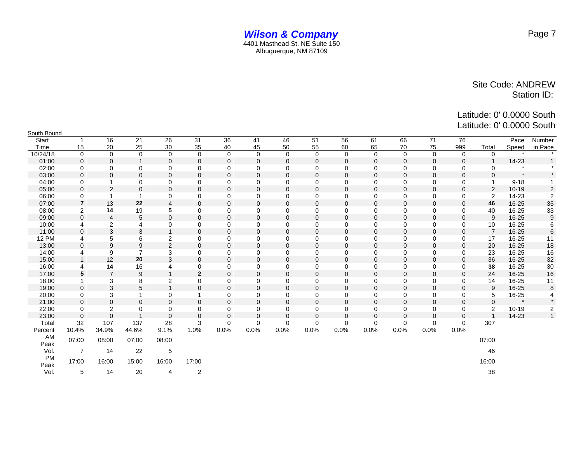Latitude: 0' 0.0000 South Latitude: 0' 0.0000 South

| South Bound       |                |                |                |                |              |                |              |              |              |             |             |             |                |              |                |           |                 |
|-------------------|----------------|----------------|----------------|----------------|--------------|----------------|--------------|--------------|--------------|-------------|-------------|-------------|----------------|--------------|----------------|-----------|-----------------|
| Start             |                | 16             | 21             | 26             | 31           | 36             | 41           | 46           | 51           | 56          | 61          | 66          | 71             | 76           |                | Pace      | Number          |
| Time              | 15             | 20             | 25             | 30             | 35           | 40             | 45           | 50           | 55           | 60          | 65          | 70          | 75             | 999          | Total          | Speed     | in Pace         |
| 10/24/18          | $\mathbf 0$    | $\mathbf 0$    | $\mathbf 0$    | $\mathbf 0$    | $\mathbf 0$  | $\mathbf 0$    | $\mathbf 0$  | $\Omega$     | $\Omega$     | $\Omega$    | $\Omega$    | $\Omega$    | $\mathbf 0$    | $\mathbf 0$  | $\Omega$       |           |                 |
| 01:00             | $\mathbf 0$    | $\mathbf{0}$   | $\overline{1}$ | $\mathbf 0$    | 0            | $\mathbf 0$    | $\mathbf{0}$ | $\mathbf{0}$ | $\Omega$     | $\mathbf 0$ | $\mathbf 0$ | $\mathbf 0$ | $\mathbf 0$    | $\mathbf 0$  |                | 14-23     |                 |
| 02:00             | 0              | $\mathbf 0$    | 0              | $\mathbf 0$    | 0            | $\mathbf 0$    | $\mathbf 0$  | 0            | $\mathbf 0$  | $\mathbf 0$ | $\mathbf 0$ | $\mathbf 0$ | $\mathbf 0$    | 0            | 0              |           |                 |
| 03:00             | $\mathbf 0$    | $\mathbf 0$    | $\mathbf 0$    | $\mathbf 0$    | 0            | $\mathbf 0$    | $\mathbf{0}$ | $\mathbf{0}$ | $\mathbf{0}$ | $\mathbf 0$ | $\mathbf 0$ | $\mathbf 0$ | $\mathbf 0$    | $\mathbf 0$  | $\Omega$       | $\star$   |                 |
| 04:00             | 0              | 1              | 0              | 0              | 0            | $\mathbf 0$    | 0            | 0            | $\mathbf 0$  | $\mathbf 0$ | $\mathbf 0$ | $\mathbf 0$ | 0              | 0            |                | $9 - 18$  |                 |
| 05:00             | 0              | $\overline{2}$ | $\mathbf 0$    | $\mathbf{0}$   | 0            | $\mathbf 0$    | $\Omega$     | $\Omega$     | $\Omega$     | $\Omega$    | $\Omega$    | $\mathbf 0$ | $\mathbf 0$    | $\mathbf 0$  | 2              | $10 - 19$ | $\overline{c}$  |
| 06:00             | 0              | 1              |                | 0              | 0            | $\Omega$       | $\Omega$     | $\Omega$     | $\mathbf 0$  | $\mathbf 0$ | $\mathbf 0$ | $\mathbf 0$ | 0              | 0            | $\overline{2}$ | 14-23     | $\overline{2}$  |
| 07:00             | $\overline{7}$ | 13             | 22             | 4              | $\mathbf{0}$ | $\Omega$       | $\Omega$     | $\Omega$     | $\Omega$     | $\Omega$    | $\Omega$    | $\Omega$    | $\Omega$       | $\mathbf{0}$ | 46             | 16-25     | 35              |
| 08:00             | $\overline{2}$ | 14             | 19             | 5              | 0            | 0              | 0            | $\Omega$     | $\mathbf 0$  | $\mathbf 0$ | $\mathbf 0$ | $\mathbf 0$ | $\mathbf 0$    | 0            | 40             | 16-25     | 33              |
| 09:00             | $\mathbf 0$    | 4              | 5              | $\mathbf{0}$   | 0            | $\mathbf{0}$   | $\Omega$     | $\Omega$     | $\Omega$     | $\Omega$    | $\mathbf 0$ | $\mathbf 0$ | $\mathbf 0$    | $\mathbf{0}$ | 9              | 16-25     | 9               |
| 10:00             | 4              | $\overline{2}$ | $\overline{4}$ | 0              | 0            | $\mathbf 0$    | 0            | $\Omega$     | 0            | 0           | 0           | $\mathbf 0$ | $\mathbf 0$    | 0            | 10             | 16-25     | 6               |
| 11:00             | $\mathbf 0$    | 3              | 3              | 1              | 0            | $\Omega$       | $\Omega$     | $\Omega$     | $\Omega$     | $\mathbf 0$ | $\mathbf 0$ | $\mathbf 0$ | $\overline{0}$ | $\mathbf 0$  | $\overline{7}$ | 16-25     | $6\phantom{1}6$ |
| <b>12 PM</b>      | 4              | 5              | 6              | $\overline{c}$ | 0            | 0              | 0            | $\mathbf 0$  | $\mathbf 0$  | $\mathbf 0$ | 0           | 0           | $\mathbf 0$    | 0            | 17             | 16-25     | 11              |
| 13:00             | $\mathbf 0$    | 9              | 9              | $\overline{2}$ | 0            | $\overline{0}$ | $\mathbf 0$  | $\mathbf{0}$ | $\mathbf 0$  | $\mathbf 0$ | $\mathbf 0$ | $\mathbf 0$ | $\mathbf 0$    | $\mathbf 0$  | 20             | 16-25     | 18              |
| 14:00             | 4              | 9              | $\overline{7}$ | 3              | 0            | $\Omega$       | $\Omega$     | $\Omega$     | $\mathbf 0$  | $\mathbf 0$ | $\mathbf 0$ | $\mathbf 0$ | $\mathbf 0$    | 0            | 23             | 16-25     | 16              |
| 15:00             |                | 12             | 20             | 3              | $\mathbf{0}$ | $\overline{0}$ | $\Omega$     | $\Omega$     | $\mathbf{0}$ | $\mathbf 0$ | $\mathbf 0$ | $\mathbf 0$ | $\Omega$       | $\mathbf 0$  | 36             | 16-25     | 32              |
| 16:00             | 4              | 14             | 16             | 4              | 0            | $\Omega$       | $\mathbf 0$  | $\Omega$     | $\mathbf 0$  | $\mathbf 0$ | $\Omega$    | $\mathbf 0$ | $\mathbf 0$    | $\mathbf 0$  | 38             | 16-25     | 30              |
| 17:00             | 5              | $\overline{7}$ | 9              | $\overline{1}$ | $\mathbf 2$  | $\mathbf 0$    | $\mathbf{0}$ | $\mathbf{0}$ | $\mathbf{0}$ | $\mathbf 0$ | $\mathbf 0$ | $\mathbf 0$ | $\mathbf 0$    | $\mathbf{0}$ | 24             | 16-25     | 16              |
| 18:00             |                | 3              | 8              | 2              | 0            | $\mathbf 0$    | 0            | $\Omega$     | 0            | $\mathbf 0$ | $\mathbf 0$ | $\mathbf 0$ | $\Omega$       | 0            | 14             | 16-25     | 11              |
| 19:00             | 0              | 3              | 5              | 1              | $\mathbf 0$  | $\mathbf 0$    | $\mathbf{0}$ | $\mathbf{0}$ | $\mathbf{0}$ | $\mathbf 0$ | $\mathbf 0$ | $\mathbf 0$ | $\mathbf 0$    | $\mathbf{0}$ | 9              | 16-25     | 8               |
| 20:00             | 0              | 3              |                | $\Omega$       | 1            | $\mathbf 0$    | 0            | 0            | 0            | $\mathbf 0$ | $\mathbf 0$ | $\mathbf 0$ | $\Omega$       | $\mathbf 0$  | 5              | 16-25     | 4               |
| 21:00             | 0              | $\mathbf{0}$   | $\mathbf 0$    | $\mathbf 0$    | 0            | $\overline{0}$ | $\mathbf 0$  | $\mathbf{0}$ | $\mathbf 0$  | $\mathbf 0$ | $\mathbf 0$ | $\mathbf 0$ | $\mathbf 0$    | $\mathbf 0$  | $\Omega$       | $\star$   |                 |
| 22:00             | 0              | $\overline{c}$ | 0              | 0              | 0            | $\Omega$       | $\Omega$     | $\Omega$     | 0            | 0           | 0           | 0           | $\Omega$       | $\Omega$     | 2              | $10 - 19$ | $\overline{2}$  |
| 23:00             | $\Omega$       | $\mathbf{0}$   |                | $\Omega$       | 0            | $\Omega$       | $\Omega$     | $\Omega$     | $\Omega$     | $\mathbf 0$ | $\Omega$    | $\Omega$    | $\Omega$       | $\mathbf{0}$ |                | 14-23     | $\mathbf{1}$    |
| Total             | 32             | 107            | 137            | 28             | 3            | $\Omega$       | $\Omega$     | $\Omega$     | $\Omega$     | $\Omega$    | $\Omega$    | $\Omega$    | $\Omega$       | $\Omega$     | 307            |           |                 |
| Percent           | 10.4%          | 34.9%          | 44.6%          | 9.1%           | 1.0%         | 0.0%           | 0.0%         | 0.0%         | 0.0%         | 0.0%        | 0.0%        | 0.0%        | 0.0%           | 0.0%         |                |           |                 |
| AM<br>Peak        | 07:00          | 08:00          | 07:00          | 08:00          |              |                |              |              |              |             |             |             |                |              | 07:00          |           |                 |
| Vol.              | $\overline{7}$ | 14             | 22             | 5              |              |                |              |              |              |             |             |             |                |              | 46             |           |                 |
| <b>PM</b><br>Peak | 17:00          | 16:00          | 15:00          | 16:00          | 17:00        |                |              |              |              |             |             |             |                |              | 16:00          |           |                 |
| Vol.              | 5              | 14             | 20             | 4              | 2            |                |              |              |              |             |             |             |                |              | 38             |           |                 |

Page 7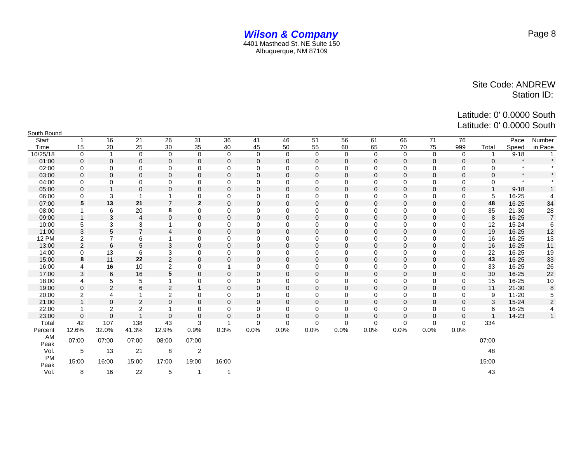| South Bound       |                |                 |                |                  |                          |              |              |              |                |              |              |             |             |              |             |           |                |
|-------------------|----------------|-----------------|----------------|------------------|--------------------------|--------------|--------------|--------------|----------------|--------------|--------------|-------------|-------------|--------------|-------------|-----------|----------------|
| Start             |                | 16              | 21             | 26               | 31                       | 36           | 41           | 46           | 51             | 56           | 61           | 66          | 71          | 76           |             | Pace      | Number         |
| Time              | 15             | 20              | 25             | 30               | 35                       | 40           | 45           | 50           | 55             | 60           | 65           | 70          | 75          | 999          | Total       | Speed     | in Pace        |
| 10/25/18          | $\mathbf 0$    | $\mathbf 1$     | $\mathbf 0$    | $\mathbf 0$      | $\mathbf 0$              | $\mathbf 0$  | $\mathbf 0$  | $\mathbf 0$  | $\Omega$       | $\Omega$     | $\Omega$     | $\mathbf 0$ | $\mathbf 0$ | $\mathbf 0$  |             | $9 - 18$  | $\mathbf{1}$   |
| 01:00             | $\mathbf{0}$   | $\mathbf 0$     | $\mathbf 0$    | $\mathbf 0$      | 0                        | $\mathbf 0$  | $\Omega$     | $\Omega$     | $\Omega$       | $\mathbf{0}$ | $\mathbf{0}$ | 0           | $\mathbf 0$ | $\mathbf{0}$ | $\Omega$    | $\star$   | $\star$        |
| 02:00             | 0              | $\mathbf 0$     | $\mathbf 0$    | 0                | 0                        | 0            | 0            | 0            | $\mathbf 0$    | 0            | $\mathbf 0$  | 0           | $\mathbf 0$ | 0            | 0           | $\star$   |                |
| 03:00             | $\mathbf 0$    | $\mathbf 0$     | $\mathbf 0$    | $\mathbf 0$      | $\mathbf 0$              | $\mathbf{0}$ | $\mathbf{0}$ | $\mathbf{0}$ | $\mathbf 0$    | $\mathbf 0$  | $\mathbf{0}$ | $\mathbf 0$ | $\mathbf 0$ | $\mathbf{0}$ | $\mathbf 0$ | $\star$   |                |
| 04:00             | 0              | $\mathbf 0$     | 0              | $\mathbf 0$      | 0                        | 0            | $\mathbf 0$  | $\mathbf 0$  | 0              | 0            | $\mathbf 0$  | 0           | $\mathbf 0$ | $\mathbf 0$  | 0           | $\star$   |                |
| 05:00             | $\mathbf 0$    |                 | $\mathbf 0$    | $\mathbf{0}$     | 0                        | $\mathbf{0}$ | $\Omega$     | 0            | $\overline{0}$ | $\mathbf 0$  | $\mathbf{0}$ | 0           | $\mathbf 0$ | $\mathbf{0}$ |             | $9 - 18$  |                |
| 06:00             | 0              | 3               | 1              |                  | 0                        | $\Omega$     | $\Omega$     | $\Omega$     | 0              | 0            | $\Omega$     | 0           | $\mathbf 0$ | 0            | 5           | 16-25     | 4              |
| 07:00             | 5              | 13              | 21             | $\overline{7}$   | $\overline{2}$           | $\mathbf 0$  | $\Omega$     | $\Omega$     | $\Omega$       | $\Omega$     | $\Omega$     | $\Omega$    | $\mathbf 0$ | $\mathbf{0}$ | 48          | 16-25     | 34             |
| 08:00             |                | 6               | 20             | 8                | 0                        | 0            | 0            | 0            | 0              | 0            | 0            | 0           | $\mathbf 0$ | 0            | 35          | $21 - 30$ | 28             |
| 09:00             | $\mathbf 1$    | 3               | $\overline{4}$ | $\mathbf{0}$     | 0                        | $\mathbf{0}$ | $\Omega$     | $\Omega$     | $\Omega$       | $\Omega$     | $\mathbf{0}$ | 0           | $\mathbf 0$ | $\mathbf{0}$ | 8           | $16 - 25$ | $\overline{7}$ |
| 10:00             | 5              | 3               | 3              |                  | 0                        | $\mathbf 0$  | $\mathbf 0$  | 0            | 0              | 0            | $\mathbf 0$  | 0           | $\mathbf 0$ | 0            | 12          | 15-24     | 6              |
| 11:00             | 3              | 5               | $\overline{7}$ | $\overline{4}$   | 0                        | $\mathbf 0$  | $\mathbf{0}$ | $\mathbf{0}$ | $\mathbf 0$    | $\mathbf 0$  | $\mathbf{0}$ | 0           | $\mathbf 0$ | $\mathbf{0}$ | 19          | 16-25     | 12             |
| <b>12 PM</b>      | 2              | $\overline{7}$  | 6              |                  | 0                        | 0            | 0            | 0            | $\mathbf 0$    | 0            | $\mathbf 0$  | 0           | $\mathbf 0$ | 0            | 16          | 16-25     | 13             |
| 13:00             | $\mathbf{2}$   | $6\phantom{1}6$ | 5              | 3                | 0                        | $\mathbf 0$  | $\mathbf{0}$ | $\mathbf{0}$ | $\mathbf 0$    | $\mathbf{0}$ | $\mathbf{0}$ | 0           | $\mathbf 0$ | $\mathbf{0}$ | 16          | 16-25     | 11             |
| 14:00             | $\mathbf 0$    | 13              | 6              | 3                | $\mathbf 0$              | 0            | 0            | 0            | 0              | $\mathbf 0$  | $\mathbf 0$  | 0           | $\mathbf 0$ | 0            | 22          | 16-25     | 19             |
| 15:00             | 8              | 11              | 22             | 2                | $\Omega$                 | $\Omega$     | $\Omega$     | 0            | $\Omega$       | $\Omega$     | $\Omega$     | $\Omega$    | $\Omega$    | $\Omega$     | 43          | 16-25     | 33             |
| 16:00             | 4              | 16              | 10             | 2                | $\mathbf 0$              | 1            | $\mathbf 0$  | $\mathbf 0$  | $\mathbf 0$    | $\mathbf 0$  | $\Omega$     | $\mathbf 0$ | $\mathbf 0$ | $\mathbf 0$  | 33          | 16-25     | 26             |
| 17:00             | 3              | $6\phantom{1}6$ | 16             | $5\phantom{.0}$  | 0                        | $\mathbf 0$  | $\mathbf{0}$ | $\mathbf{0}$ | $\mathbf 0$    | $\mathbf{0}$ | $\mathbf{0}$ | 0           | $\mathbf 0$ | $\mathbf{0}$ | 30          | 16-25     | 22             |
| 18:00             | 4              | 5               | 5              |                  | 0                        | $\mathbf 0$  | $\Omega$     | $\Omega$     | $\Omega$       | $\Omega$     | $\mathbf 0$  | 0           | $\mathbf 0$ | $\mathbf 0$  | 15          | 16-25     | 10             |
| 19:00             | $\mathbf{0}$   | $\overline{2}$  | 6              | $\overline{2}$   | $\mathbf{1}$             | $\mathbf 0$  | $\mathbf{0}$ | $\mathbf{0}$ | $\mathbf 0$    | $\mathbf 0$  | $\mathbf{0}$ | 0           | $\mathbf 0$ | $\mathbf{0}$ | 11          | $21 - 30$ | 8              |
| 20:00             | $\overline{2}$ | 4               | 1              | $\boldsymbol{2}$ | 0                        | 0            | $\mathbf 0$  | $\mathbf 0$  | $\mathbf 0$    | 0            | $\mathbf 0$  | 0           | $\mathbf 0$ | $\mathbf 0$  | 9           | $11 - 20$ | 5              |
| 21:00             | $\overline{1}$ | $\mathbf 0$     | $\overline{2}$ | $\mathbf 0$      | 0                        | $\mathbf 0$  | $\mathbf{0}$ | $\mathbf 0$  | $\mathbf 0$    | $\mathbf{0}$ | $\mathbf{0}$ | 0           | $\mathbf 0$ | $\mathbf 0$  | 3           | $15 - 24$ | $\overline{2}$ |
| 22:00             |                | 2               | $\overline{2}$ |                  | 0                        | $\mathbf 0$  | 0            | $\mathbf 0$  | $\mathbf 0$    | 0            | $\mathbf 0$  | 0           | $\mathbf 0$ | 0            | 6           | 16-25     | 4              |
| 23:00             | $\Omega$       | $\Omega$        | $\overline{1}$ | $\Omega$         | $\Omega$                 | $\Omega$     | $\Omega$     | $\Omega$     | $\Omega$       | $\Omega$     | $\Omega$     | $\Omega$    | $\Omega$    | $\Omega$     |             | 14-23     |                |
| Total             | 42             | 107             | 138            | 43               | 3                        |              | $\Omega$     | $\Omega$     | $\Omega$       | $\mathbf 0$  | $\Omega$     | 0           | $\mathbf 0$ | $\Omega$     | 334         |           |                |
| Percent           | 12.6%          | 32.0%           | 41.3%          | 12.9%            | 0.9%                     | 0.3%         | 0.0%         | 0.0%         | 0.0%           | 0.0%         | 0.0%         | 0.0%        | 0.0%        | 0.0%         |             |           |                |
| AM                | 07:00          | 07:00           | 07:00          | 08:00            | 07:00                    |              |              |              |                |              |              |             |             |              | 07:00       |           |                |
| Peak              |                |                 |                |                  |                          |              |              |              |                |              |              |             |             |              |             |           |                |
| Vol.              | 5              | 13              | 21             | 8                | 2                        |              |              |              |                |              |              |             |             |              | 48          |           |                |
| <b>PM</b><br>Peak | 15:00          | 16:00           | 15:00          | 17:00            | 19:00                    | 16:00        |              |              |                |              |              |             |             |              | 15:00       |           |                |
| Vol.              | 8              | 16              | 22             | 5                | $\overline{\phantom{a}}$ | -1           |              |              |                |              |              |             |             |              | 43          |           |                |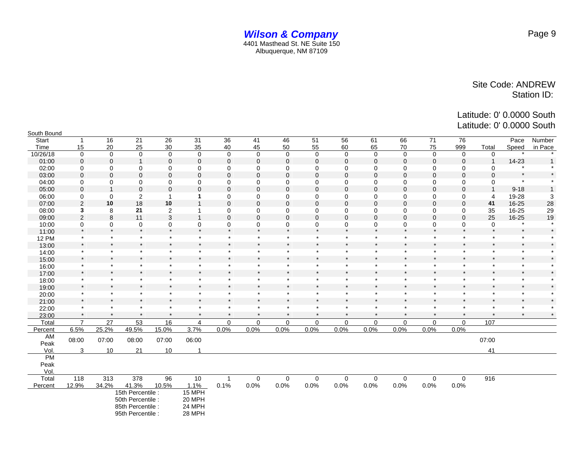| South Bound  |                |              |                                                                                 |                         |                                      |             |              |             |             |                      |             |                |             |             |             |          |         |
|--------------|----------------|--------------|---------------------------------------------------------------------------------|-------------------------|--------------------------------------|-------------|--------------|-------------|-------------|----------------------|-------------|----------------|-------------|-------------|-------------|----------|---------|
| Start        | $\mathbf{1}$   | 16           | 21                                                                              | 26                      | 31                                   | 36          | 41           | 46          | 51          | 56                   | 61          | 66             | 71          | 76          |             | Pace     | Number  |
| Time         | 15             | 20           | 25                                                                              | 30                      | 35                                   | 40          | 45           | 50          | 55          | 60                   | 65          | 70             | 75          | 999         | Total       | Speed    | in Pace |
| 10/26/18     | $\mathbf 0$    | $\mathbf 0$  | $\mathbf 0$                                                                     | $\mathbf 0$             | $\mathbf 0$                          | $\mathbf 0$ | $\mathbf 0$  | $\mathbf 0$ | $\mathbf 0$ | $\mathbf 0$          | $\mathbf 0$ | $\mathbf 0$    | $\mathbf 0$ | $\mathbf 0$ | $\mathbf 0$ |          |         |
| 01:00        | $\mathbf 0$    | $\mathbf 0$  | $\mathbf{1}$                                                                    | $\mathbf 0$             | $\boldsymbol{0}$                     | $\mathbf 0$ | $\mathbf 0$  | $\mathbf 0$ | $\mathbf 0$ | $\mathbf 0$          | $\mathbf 0$ | $\mathbf 0$    | $\mathbf 0$ | $\mathbf 0$ |             | 14-23    |         |
| 02:00        | 0              | 0            | 0                                                                               | 0                       | 0                                    | 0           | $\mathbf 0$  | $\mathbf 0$ | $\mathbf 0$ | $\mathbf 0$          | 0           | $\mathbf 0$    | $\mathbf 0$ | $\mathbf 0$ | 0           | $\star$  |         |
| 03:00        | $\Omega$       | $\mathbf{0}$ | $\mathbf 0$                                                                     | $\mathbf 0$             | $\mathbf 0$                          | $\mathbf 0$ | $\mathbf{0}$ | $\Omega$    | $\Omega$    | $\Omega$             | $\Omega$    | $\Omega$       | $\Omega$    | $\Omega$    | $\Omega$    | $\star$  |         |
| 04:00        | 0              | 0            | 0                                                                               | 0                       | 0                                    | 0           | $\mathbf 0$  | 0           | 0           | $\mathbf 0$          | 0           | 0              | $\mathbf 0$ | 0           | 0           | $\star$  |         |
| 05:00        | $\Omega$       |              | $\mathbf 0$                                                                     | $\mathbf 0$             | $\mathbf{0}$                         | $\mathbf 0$ | $\Omega$     | $\Omega$    | 0           | $\Omega$             | $\Omega$    | $\Omega$       | $\Omega$    | $\Omega$    |             | $9 - 18$ |         |
| 06:00        | $\mathbf 0$    | $\mathbf 0$  | $\boldsymbol{2}$                                                                | $\overline{\mathbf{1}}$ | 1                                    | $\mathbf 0$ | $\mathbf 0$  | 0           | $\mathbf 0$ | $\mathbf 0$          | 0           | $\mathbf 0$    | $\mathbf 0$ | $\mathbf 0$ | 4           | 19-28    | 3       |
| 07:00        | $\overline{2}$ | 10           | 18                                                                              | 10                      | $\overline{1}$                       | $\pmb{0}$   | $\mathbf 0$  | $\mathbf 0$ | $\mathbf 0$ | $\mathbf 0$          | $\mathbf 0$ | $\overline{0}$ | $\mathbf 0$ | $\mathbf 0$ | 41          | 16-25    | $28\,$  |
| 08:00        | 3              | 8            | 21                                                                              | $\overline{2}$          | $\mathbf{1}$                         | 0           | $\mathbf 0$  | 0           | 0           | 0                    | 0           | 0              | 0           | $\mathbf 0$ | 35          | 16-25    | 29      |
| 09:00        | 2              | 8            | 11                                                                              | 3                       | $\mathbf{1}$                         | $\mathbf 0$ | $\mathbf 0$  | $\Omega$    | $\mathbf 0$ | $\Omega$             | $\Omega$    | $\mathbf 0$    | $\mathbf 0$ | $\mathbf 0$ | 25          | 16-25    | 19      |
| 10:00        | 0              | 0            | 0                                                                               | 0                       | 0                                    | 0           | $\pmb{0}$    | 0           | 0           | 0                    | 0           | 0              | 0           | 0           | 0           | $\star$  |         |
| 11:00        | $\star$        | $\star$      | $\star$                                                                         | $\star$                 | $\star$                              | $\star$     | $\star$      | $\star$     | $\star$     | $\star$              | $\star$     | $\star$        | $\star$     | $\star$     | $\star$     | $\star$  |         |
| <b>12 PM</b> | $\star$        | $\star$      | $\star$                                                                         | $\star$                 | $\star$                              | $\star$     | $\star$      | $\star$     | $\star$     | $\star$              | $\star$     | $\star$        | $\star$     | $\star$     | $\star$     | $\star$  |         |
| 13:00        | $\star$        | $\star$      | $\star$                                                                         | $\star$                 | $\star$                              | $\star$     | $\star$      | $\star$     | $\star$     | $\star$              | $\star$     | $\star$        | $\star$     | $\star$     | $\star$     | $\star$  | $\star$ |
| 14:00        | $\star$        | $\star$      | $\star$                                                                         | $\star$                 | $\star$                              | $\star$     | $\star$      | $\star$     | $\star$     | $\star$              | $\star$     | $\star$        | $\star$     | $\star$     | $\star$     | $\star$  |         |
| 15:00        | $\star$        | $\star$      | $\star$                                                                         | $\star$                 | $\star$                              | $\star$     | $\star$      | $\star$     |             | $\star$              | $\star$     | $\star$        | $\star$     |             | $\star$     | $\star$  |         |
| 16:00        | $\star$        | $\star$      | $\star$                                                                         | $\star$                 | $\star$                              | $\star$     | $\star$      | $\star$     | $\star$     | $\star$              | $\star$     | $\star$        | $\star$     | $\star$     | $\star$     | $\star$  |         |
| 17:00        | $\star$        | $\star$      | $\star$                                                                         | $\star$                 | $\star$                              | $\star$     |              | ÷           | $\Phi$      | $\ddot{\phantom{a}}$ | $\star$     | $\star$        | $\star$     |             | $\star$     | $\star$  |         |
| 18:00        | $\star$        | $\star$      | $\star$                                                                         | $\star$                 | $\star$                              | $\star$     | $\star$      | $\star$     | $\star$     | $\star$              | $\star$     | $\star$        | $\star$     | $\star$     | $\star$     | $\star$  |         |
| 19:00        | $\star$        | $\star$      | $\star$                                                                         | $\star$                 | $\star$                              | $\star$     |              | $\star$     | $\star$     | $\star$              | $\star$     | $\star$        | $\star$     |             | $\star$     | $\star$  |         |
| 20:00        | $\star$        | $\star$      | $\star$                                                                         | $\star$                 | $\star$                              |             | $\star$      | $\star$     | $\star$     | $\star$              | $\star$     | $\star$        | $\star$     | $\star$     | $\star$     | $\star$  |         |
| 21:00        | $\star$        | $\star$      | $\star$                                                                         | $\star$                 | $\star$                              | $\star$     | $\star$      | $\star$     |             | $\star$              | $\star$     | $\star$        | $\star$     | $\star$     | $\star$     | $\star$  |         |
| 22:00        | $\star$        | $\star$      | $\star$                                                                         | $\star$                 | $\star$                              | $\star$     | $\star$      | $\star$     | $\star$     | $\star$              | $\star$     | $\star$        | $\star$     | $\star$     | $\star$     | $\star$  |         |
| 23:00        | $\star$        | $\star$      | $\pmb{\ast}$                                                                    | $\star$                 | $\star$                              | $\star$     | $\star$      | $\star$     | $\star$     | $\star$              | $\star$     | $\star$        | $\star$     | $\star$     | $\star$     | $\star$  | $\star$ |
| Total        | $\overline{7}$ | 27           | 53                                                                              | 16                      | $\overline{4}$                       | 0           | $\mathbf 0$  | $\mathbf 0$ | 0           | 0                    | 0           | $\mathbf 0$    | 0           | $\mathbf 0$ | 107         |          |         |
| Percent      | 6.5%           | 25.2%        | 49.5%                                                                           | 15.0%                   | 3.7%                                 | 0.0%        | 0.0%         | 0.0%        | $0.0\%$     | 0.0%                 | 0.0%        | 0.0%           | 0.0%        | 0.0%        |             |          |         |
| AM<br>Peak   | 08:00          | 07:00        | 08:00                                                                           | 07:00                   | 06:00                                |             |              |             |             |                      |             |                |             |             | 07:00       |          |         |
| Vol.         | 3              | 10           | 21                                                                              | 10                      |                                      |             |              |             |             |                      |             |                |             |             | 41          |          |         |
| PM           |                |              |                                                                                 |                         |                                      |             |              |             |             |                      |             |                |             |             |             |          |         |
| Peak         |                |              |                                                                                 |                         |                                      |             |              |             |             |                      |             |                |             |             |             |          |         |
| Vol.         |                |              |                                                                                 |                         |                                      |             |              |             |             |                      |             |                |             |             |             |          |         |
| Total        | 118            | 313          | 378                                                                             | 96                      | 10                                   | 1           | $\pmb{0}$    | 0           | $\mathbf 0$ | $\mathbf 0$          | 0           | 0              | $\pmb{0}$   | $\pmb{0}$   | 916         |          |         |
| Percent      | 12.9%          | 34.2%        | 41.3%                                                                           | 10.5%                   | 1.1%                                 | 0.1%        | 0.0%         | 0.0%        | 0.0%        | 0.0%                 | 0.0%        | 0.0%           | 0.0%        | 0.0%        |             |          |         |
|              |                |              | 15th Percentile:<br>50th Percentile :<br>85th Percentile :<br>95th Percentile : |                         | 15 MPH<br>20 MPH<br>24 MPH<br>28 MPH |             |              |             |             |                      |             |                |             |             |             |          |         |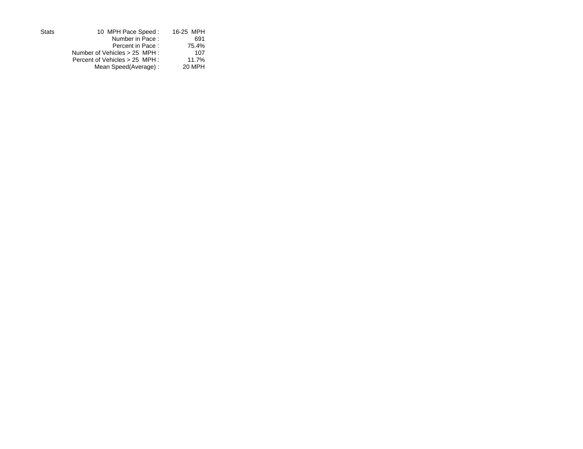| <b>Stats</b> | 10 MPH Pace Speed:             | 16-25 MPH |
|--------------|--------------------------------|-----------|
|              | Number in Pace:                | 691       |
|              | Percent in Pace:               | 75.4%     |
|              | Number of Vehicles > 25 MPH :  | 107       |
|              | Percent of Vehicles > 25 MPH : | 11.7%     |
|              | Mean Speed(Average):           | 20 MPH    |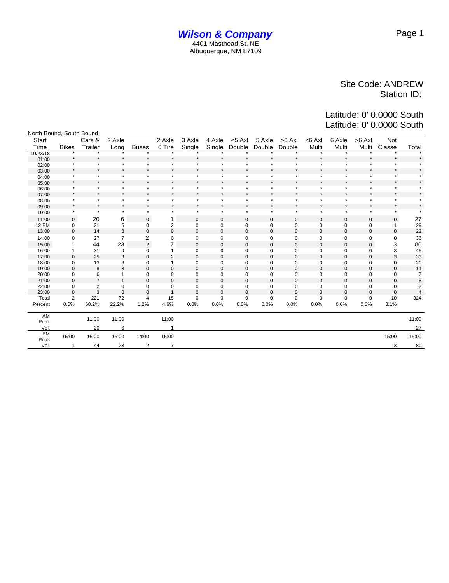#### *Wilson & Company* 4401 Masthead St. NE Albuquerque, NM 87109

#### Site Code: ANDREW Station ID:

| North Bound, South Bound |                         |                |                |                |                         |             |             |              |             |                  |              |             |             |              |                         |
|--------------------------|-------------------------|----------------|----------------|----------------|-------------------------|-------------|-------------|--------------|-------------|------------------|--------------|-------------|-------------|--------------|-------------------------|
| Start                    |                         | Cars &         | 2 Axle         |                | 2 Axle                  | 3 Axle      | 4 Axle      | $<$ 5 Axl    | 5 Axle      | $>6$ AxI         | <6 Axl       | 6 Axle      | >6 Axl      | Not          |                         |
| Time                     | <b>Bikes</b>            | Trailer        | Long           | <b>Buses</b>   | 6 Tire                  | Single      | Single      | Double       | Double      | Double           | Multi        | Multi       | Multi       | Classe       | Total                   |
| 10/23/18                 |                         |                |                |                |                         |             |             |              |             |                  |              | $\star$     |             |              |                         |
| 01:00                    |                         | $\star$        |                |                | $\star$                 |             |             |              |             |                  | $\star$      |             |             | $\star$      |                         |
| 02:00                    |                         | $\star$        |                |                | $\star$                 |             |             |              |             |                  | $\star$      | ÷           | $\star$     | $\star$      |                         |
| 03:00                    | $\star$                 | $\star$        | $\star$        |                | $\star$                 | $\star$     |             | $\star$      |             |                  | $\star$      |             | $\star$     | $\star$      |                         |
| 04:00                    |                         | $\star$        |                | ż              | $\star$                 | $\star$     | ×           | $\star$      | $\star$     |                  | $\star$      | ÷           | $\star$     | $\star$      |                         |
| 05:00                    | $\star$                 | $\star$        | $\star$        |                | $\star$                 | $\star$     |             | $\star$      | $\star$     |                  | $\star$      | $\star$     | $\star$     | $\star$      |                         |
| 06:00                    |                         | $\star$        |                | ٠              | $\star$                 |             | $\star$     | $\star$      | $\star$     |                  | $\star$      | $\star$     | $\star$     | $\star$      |                         |
| 07:00                    | $\star$                 | $\star$        | $\star$        |                | $\star$                 | $\star$     |             | $\star$      | $\star$     |                  | $\star$      | $\star$     | $\star$     | $\star$      |                         |
| 08:00                    |                         | $\star$        | $\star$        | ×              | $\star$                 | $\star$     | $\star$     | $\star$      | ÷           | $\star$          | $\star$      | ÷           | $\star$     | $\star$      |                         |
| 09:00                    | $\star$                 | $\star$        | $\star$        |                | $\star$                 | $\star$     |             | $\star$      | $\star$     |                  | $\star$      | $\star$     | $\star$     | $^\star$     |                         |
| 10:00                    | $\star$                 | $\star$        | $\star$        | $\star$        | $\star$                 | $\star$     | $\star$     | $\star$      | $\star$     | $\star$          | $\star$      | $\star$     | $\star$     | $\star$      |                         |
| 11:00                    | $\mathbf 0$             | 20             | 6              | $\pmb{0}$      | 1                       | 0           | $\mathbf 0$ | 0            | $\mathbf 0$ | $\boldsymbol{0}$ | $\mathbf 0$  | 0           | $\mathbf 0$ | 0            | 27                      |
| <b>12 PM</b>             | 0                       | 21             | 5              | 0              | $\overline{\mathbf{c}}$ | 0           | 0           | 0            | 0           | 0                | $\mathbf 0$  | 0           | 0           | 1            | 29                      |
| 13:00                    | $\mathbf 0$             | 14             | 8              | $\bf 0$        | $\mathbf 0$             | 0           | $\bf 0$     | $\mathbf{0}$ | $\mathbf 0$ | $\bf 0$          | $\mathbf 0$  | $\mathbf 0$ | $\mathbf 0$ | $\mathbf{0}$ | 22                      |
| 14:00                    | 0                       | 27             | $\overline{7}$ | 2              | 0                       | 0           | 0           | 0            | 0           | $\mathbf 0$      | $\mathbf 0$  | 0           | 0           | 0            | 36                      |
| 15:00                    |                         | 44             | 23             | $\overline{2}$ | 7                       | $\mathbf 0$ | $\mathbf 0$ | $\mathbf 0$  | 0           | $\mathbf 0$      | $\mathbf 0$  | 0           | 0           | 3            | 80                      |
| 16:00                    | 1                       | 31             | 9              | $\mathbf 0$    | 1                       | 0           | $\mathbf 0$ | 0            | 0           | 0                | $\mathbf 0$  | 0           | 0           | 3            | 45                      |
| 17:00                    | $\mathbf 0$             | 25             | 3              | $\mathbf 0$    | $\overline{2}$          | $\mathbf 0$ | $\mathbf 0$ | $\mathbf 0$  | 0           | $\boldsymbol{0}$ | $\mathbf 0$  | $\mathbf 0$ | $\pmb{0}$   | 3            | 33                      |
| 18:00                    | 0                       | 13             | 6              | 0              | 1                       | 0           | 0           | 0            | 0           | 0                | $\mathbf 0$  | 0           | 0           | 0            | 20                      |
| 19:00                    | $\mathbf 0$             | 8              | 3              | $\mathbf 0$    | $\mathbf 0$             | $\pmb{0}$   | $\mathbf 0$ | $\mathbf 0$  | 0           | $\boldsymbol{0}$ | $\mathbf{0}$ | $\mathbf 0$ | $\pmb{0}$   | $\mathbf 0$  | 11                      |
| 20:00                    | $\mathbf 0$             | 6              | 1              | $\mathbf 0$    | 0                       | 0           | 0           | 0            | 0           | 0                | $\mathbf 0$  | 0           | 0           | 0            | $\overline{7}$          |
| 21:00                    | $\mathbf 0$             | $\overline{7}$ | $\mathbf{1}$   | $\mathbf 0$    | $\mathbf 0$             | $\mathbf 0$ | $\bf 0$     | $\mathbf{0}$ | 0           | $\boldsymbol{0}$ | $\mathbf{0}$ | $\mathbf 0$ | $\pmb{0}$   | $\mathbf{0}$ | 8                       |
| 22:00                    | 0                       | $\overline{2}$ | 0              | 0              | 0                       | 0           | 0           | $\mathbf 0$  | 0           | 0                | $\mathbf 0$  | 0           | 0           | 0            | $\overline{\mathbf{c}}$ |
| 23:00                    | $\mathbf 0$             | 3              | $\mathbf 0$    | $\mathbf 0$    | $\overline{1}$          | 0           | $\mathbf 0$ | 0            | $\mathbf 0$ | $\mathbf 0$      | $\mathbf{0}$ | $\mathbf 0$ | $\mathbf 0$ | 0            | $\overline{4}$          |
| Total                    | $\overline{2}$          | 221            | 72             | $\overline{4}$ | 15                      | $\mathbf 0$ | $\mathbf 0$ | $\mathbf 0$  | $\mathbf 0$ | $\mathbf 0$      | $\mathbf 0$  | $\mathbf 0$ | $\mathbf 0$ | 10           | 324                     |
| Percent                  | 0.6%                    | 68.2%          | 22.2%          | 1.2%           | 4.6%                    | 0.0%        | 0.0%        | 0.0%         | 0.0%        | 0.0%             | 0.0%         | 0.0%        | 0.0%        | 3.1%         |                         |
| AM                       |                         |                |                |                |                         |             |             |              |             |                  |              |             |             |              |                         |
| Peak                     |                         | 11:00          | 11:00          |                | 11:00                   |             |             |              |             |                  |              |             |             |              | 11:00                   |
| Vol.                     |                         | 20             | 6              |                | 1                       |             |             |              |             |                  |              |             |             |              | 27                      |
| <b>PM</b>                | 15:00                   | 15:00          | 15:00          | 14:00          | 15:00                   |             |             |              |             |                  |              |             |             | 15:00        | 15:00                   |
| Peak                     |                         |                |                |                |                         |             |             |              |             |                  |              |             |             |              |                         |
| Vol.                     | $\overline{\mathbf{1}}$ | 44             | 23             | 2              | $\overline{7}$          |             |             |              |             |                  |              |             |             | 3            | 80                      |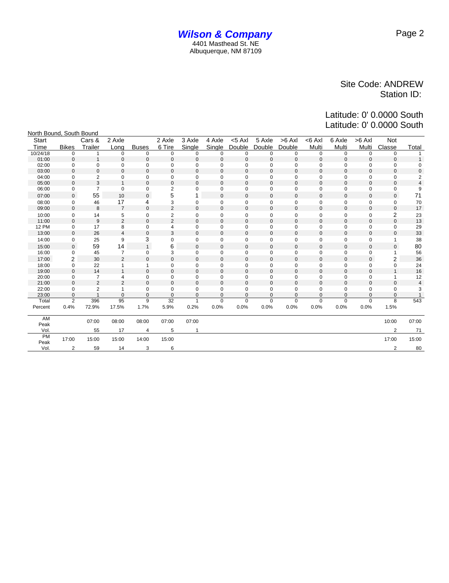| North Bound, South Bound |                |                |                |              |                         |                |                |              |                  |                  |              |              |              |                |             |
|--------------------------|----------------|----------------|----------------|--------------|-------------------------|----------------|----------------|--------------|------------------|------------------|--------------|--------------|--------------|----------------|-------------|
| <b>Start</b>             |                | Cars &         | 2 Axle         |              | 2 Axle                  | 3 Axle         | 4 Axle         | $<$ 5 Axl    | 5 Axle           | $>6$ AxI         | $<$ 6 Axl    | 6 Axle       | $>6$ AxI     | <b>Not</b>     |             |
| Time                     | <b>Bikes</b>   | Trailer        | Long           | <b>Buses</b> | 6 Tire                  | Single         | Single         | Double       | Double           | Double           | Multi        | Multi        | Multi        | Classe         | Total       |
| 10/24/18                 | $\mathbf 0$    | 1              | 0              | 0            | 0                       | $\mathbf 0$    | 0              | 0            | 0                | 0                | 0            | $\mathbf 0$  | $\mathbf 0$  | $\mathbf 0$    |             |
| 01:00                    | $\mathbf{0}$   | $\mathbf{1}$   | $\mathbf 0$    | $\mathbf 0$  | $\mathbf{0}$            | $\mathbf 0$    | $\mathbf{0}$   | $\mathbf{0}$ | $\mathbf{0}$     | $\mathbf 0$      | $\mathbf{0}$ | $\mathbf 0$  | $\mathbf{0}$ | $\mathbf 0$    |             |
| 02:00                    | $\mathbf 0$    | $\mathbf 0$    | 0              | 0            | 0                       | $\mathbf 0$    | $\mathbf 0$    | $\mathbf 0$  | $\mathbf 0$      | 0                | $\mathbf 0$  | 0            | $\mathbf 0$  | $\mathbf 0$    | 0           |
| 03:00                    | $\mathbf{0}$   | $\mathbf{0}$   | $\mathbf 0$    | $\mathbf 0$  | $\mathbf{0}$            | $\mathbf 0$    | $\mathbf 0$    | $\mathbf{0}$ | $\mathbf{0}$     | $\mathbf 0$      | $\mathbf{0}$ | $\mathbf 0$  | $\mathbf{0}$ | $\mathbf 0$    | $\mathbf 0$ |
| 04:00                    | $\mathbf 0$    | $\overline{2}$ | 0              | 0            | $\mathbf 0$             | 0              | 0              | $\mathbf 0$  | $\mathbf 0$      | 0                | $\mathbf 0$  | 0            | $\mathbf 0$  | $\mathbf 0$    | 2           |
| 05:00                    | $\mathbf{0}$   | 3              |                | $\mathbf 0$  | $\mathbf{0}$            | $\mathbf 0$    | $\mathbf 0$    | $\mathbf{0}$ | $\mathbf{0}$     | $\mathbf 0$      | $\mathbf 0$  | $\mathbf 0$  | $\mathbf{0}$ | $\mathbf 0$    | 4           |
| 06:00                    | 0              | $\overline{7}$ | 0              | 0            | $\overline{2}$          | 0              | 0              | $\mathbf 0$  | $\mathbf 0$      | $\mathbf 0$      | 0            | 0            | 0            | $\mathbf 0$    | 9           |
| 07:00                    | $\mathbf{0}$   | 55             | 10             | $\mathbf{0}$ | 5                       |                | $\mathbf 0$    | $\mathbf{0}$ | 0                | $\mathbf 0$      | $\mathbf 0$  | $\mathbf{0}$ | $\mathbf 0$  | $\mathbf{0}$   | 71          |
| 08:00                    | 0              | 46             | 17             | 4            | 3                       | 0              | $\pmb{0}$      | $\pmb{0}$    | 0                | $\pmb{0}$        | $\pmb{0}$    | 0            | $\mathbf 0$  | 0              | 70          |
| 09:00                    | $\mathbf{0}$   | 8              | $\overline{7}$ | $\mathbf 0$  | $\overline{2}$          | $\mathbf 0$    | $\mathbf 0$    | $\mathbf{0}$ | $\mathbf 0$      | $\bf 0$          | $\mathbf 0$  | $\mathbf 0$  | $\mathbf 0$  | $\mathbf 0$    | 17          |
| 10:00                    | $\mathbf 0$    | 14             | 5              | 0            | $\overline{\mathbf{c}}$ | 0              | $\mathbf 0$    | $\mathbf 0$  | $\mathbf 0$      | $\mathbf 0$      | 0            | 0            | $\mathbf 0$  | 2              | 23          |
| 11:00                    | $\Omega$       | 9              | $\overline{2}$ | $\mathbf 0$  | 2                       | 0              | $\mathbf 0$    | $\mathbf{0}$ | $\mathbf 0$      | $\mathbf 0$      | $\mathbf 0$  | $\Omega$     | $\mathbf{0}$ | $\Omega$       | 13          |
| <b>12 PM</b>             | 0              | 17             | 8              | $\mathbf 0$  | 4                       | 0              | $\mathbf 0$    | $\mathbf 0$  | 0                | $\mathbf 0$      | $\mathbf 0$  | 0            | $\mathbf 0$  | $\Omega$       | 29          |
| 13:00                    | $\mathbf{0}$   | 26             | 4              | $\mathbf 0$  | 3                       | 0              | $\mathbf 0$    | $\mathbf{0}$ | $\mathbf 0$      | $\mathbf 0$      | $\mathbf{0}$ | $\mathbf 0$  | $\mathbf{0}$ | $\mathbf 0$    | 33          |
| 14:00                    | 0              | 25             | 9              | 3            | $\mathbf 0$             | 0              | $\mathbf 0$    | $\mathbf 0$  | $\mathbf 0$      | $\mathbf 0$      | $\pmb{0}$    | $\mathbf 0$  | $\mathbf 0$  | $\mathbf{1}$   | 38          |
| 15:00                    | $\mathbf{0}$   | 59             | 14             | $\mathbf{1}$ | 6                       | $\mathbf 0$    | $\mathbf 0$    | $\mathbf{0}$ | $\mathbf 0$      | $\mathbf 0$      | $\mathbf{0}$ | $\mathbf{0}$ | $\mathbf{0}$ | $\Omega$       | 80          |
| 16:00                    | 0              | 45             | $\overline{7}$ | $\mathbf 0$  | 3                       | 0              | $\mathbf 0$    | $\mathbf 0$  | $\mathbf 0$      | $\mathbf 0$      | $\mathbf 0$  | 0            | 0            |                | 56          |
| 17:00                    | 2              | 30             | $\overline{2}$ | $\mathbf 0$  | $\mathbf{0}$            | 0              | $\mathsf 0$    | $\mathbf{0}$ | 0                | $\mathbf 0$      | $\mathbf 0$  | 0            | $\mathsf 0$  | 2              | 36          |
| 18:00                    | 0              | 22             | 1              |              | 0                       | 0              | 0              | $\mathbf 0$  | $\mathbf 0$      | 0                | 0            | 0            | $\mathbf 0$  | $\mathbf 0$    | 24          |
| 19:00                    | $\mathbf 0$    | 14             | $\mathbf 1$    | $\mathsf 0$  | $\mathbf{0}$            | 0              | $\mathsf 0$    | $\mathbf{0}$ | $\boldsymbol{0}$ | $\bf 0$          | $\mathbf 0$  | 0            | $\pmb{0}$    |                | 16          |
| 20:00                    | $\mathbf 0$    | $\overline{7}$ | 4              | 0            | 0                       | 0              | 0              | $\mathbf 0$  | $\mathbf 0$      | 0                | $\mathbf 0$  | 0            | 0            |                | 12          |
| 21:00                    | $\mathbf 0$    | 2              | $\overline{2}$ | $\mathbf 0$  | $\mathbf{0}$            | 0              | $\mathbf 0$    | $\mathbf{0}$ | $\boldsymbol{0}$ | $\boldsymbol{0}$ | $\mathbf 0$  | 0            | $\pmb{0}$    | $\mathbf 0$    | 4           |
| 22:00                    | 0              | $\overline{2}$ | 1              | 0            | 0                       | 0              | 0              | 0            | 0                | 0                | 0            | 0            | 0            | $\mathbf 0$    | 3           |
| 23:00                    | $\mathbf{0}$   | $\overline{1}$ | $\Omega$       | $\mathbf 0$  | $\mathbf 0$             | $\Omega$       | $\overline{0}$ | $\mathbf{0}$ | $\Omega$         | $\mathbf 0$      | $\mathbf 0$  | $\Omega$     | $\mathbf{0}$ | $\mathbf{0}$   |             |
| Total                    | 2              | 396            | 95             | 9            | 32                      | $\overline{1}$ | $\mathbf 0$    | $\mathbf 0$  | $\mathbf 0$      | $\mathbf 0$      | $\mathbf 0$  | $\mathbf 0$  | $\mathbf 0$  | 8              | 543         |
| Percent                  | 0.4%           | 72.9%          | 17.5%          | 1.7%         | 5.9%                    | 0.2%           | 0.0%           | 0.0%         | 0.0%             | 0.0%             | 0.0%         | 0.0%         | 0.0%         | 1.5%           |             |
| AM                       |                | 07:00          | 08:00          | 08:00        | 07:00                   | 07:00          |                |              |                  |                  |              |              |              | 10:00          | 07:00       |
| Peak                     |                |                |                |              |                         |                |                |              |                  |                  |              |              |              |                |             |
| Vol.                     |                | 55             | 17             | 4            | 5                       |                |                |              |                  |                  |              |              |              | $\mathfrak{p}$ | 71          |
| PM<br>Peak               | 17:00          | 15:00          | 15:00          | 14:00        | 15:00                   |                |                |              |                  |                  |              |              |              | 17:00          | 15:00       |
| Vol.                     | $\overline{2}$ | 59             | 14             | 3            | 6                       |                |                |              |                  |                  |              |              |              | 2              | 80          |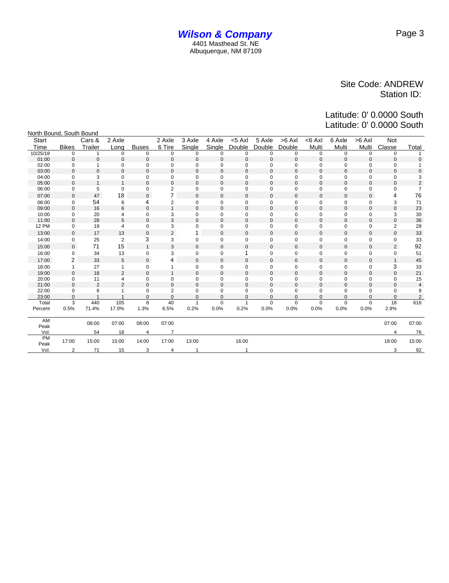| North Bound, South Bound |                |                |                |                |                         |                |             |              |              |             |              |             |              |                |                |
|--------------------------|----------------|----------------|----------------|----------------|-------------------------|----------------|-------------|--------------|--------------|-------------|--------------|-------------|--------------|----------------|----------------|
| Start                    |                | Cars &         | 2 Axle         |                | 2 Axle                  | 3 Axle         | 4 Axle      | $< 5$ Axl    | 5 Axle       | $>6$ Axl    | $<$ 6 Axl    | 6 Axle      | $>6$ Axl     | Not            |                |
| Time                     | <b>Bikes</b>   | Trailer        | Long           | <b>Buses</b>   | 6 Tire                  | Single         | Single      | Double       | Double       | Double      | Multi        | Multi       | Multi        | Classe         | Total          |
| 10/25/18                 | $\mathbf 0$    | 1              | $\Omega$       | $\mathbf 0$    | 0                       | $\Omega$       | 0           | 0            | $\mathbf 0$  | $\mathbf 0$ | $\mathbf 0$  | 0           | $\mathbf 0$  | $\mathbf 0$    |                |
| 01:00                    | $\Omega$       | $\mathbf 0$    | $\mathbf 0$    | $\Omega$       | $\mathbf{0}$            | 0              | $\mathbf 0$ | $\Omega$     | $\mathbf{0}$ | $\Omega$    | $\mathbf{0}$ | $\Omega$    | $\Omega$     | $\mathbf{0}$   | $\Omega$       |
| 02:00                    | $\mathbf 0$    | 1              | 0              | $\mathbf 0$    | $\mathbf 0$             | $\mathbf 0$    | 0           | 0            | $\mathbf 0$  | $\mathbf 0$ | $\mathbf 0$  | $\mathbf 0$ | 0            | $\mathbf 0$    |                |
| 03:00                    | $\Omega$       | $\mathbf 0$    | $\Omega$       | $\Omega$       | $\mathbf{0}$            | 0              | $\Omega$    | $\Omega$     | $\mathbf{0}$ | $\Omega$    | $\Omega$     | $\Omega$    | $\Omega$     | $\mathbf 0$    | $\Omega$       |
| 04:00                    | $\mathbf 0$    | 3              | $\Omega$       | $\mathbf 0$    | $\mathbf 0$             | 0              | 0           | 0            | $\mathbf 0$  | $\mathbf 0$ | $\mathbf 0$  | $\Omega$    | 0            | $\mathbf 0$    | 3              |
| 05:00                    | $\Omega$       | $\overline{1}$ |                | $\Omega$       | $\mathbf{0}$            | 0              | $\mathbf 0$ | $\mathbf 0$  | 0            | $\mathbf 0$ | $\mathbf 0$  | $\mathbf 0$ | $\mathbf 0$  | $\mathbf{0}$   | $\overline{2}$ |
| 06:00                    | $\mathbf 0$    | 5              | 0              | $\mathbf 0$    | 2                       | 0              | $\mathbf 0$ | 0            | $\mathbf 0$  | $\mathbf 0$ | $\mathbf 0$  | $\mathbf 0$ | 0            | $\mathbf 0$    | $\overline{7}$ |
| 07:00                    | $\mathbf{0}$   | 47             | 18             | $\mathbf{0}$   | $\overline{7}$          | 0              | 0           | $\mathbf 0$  | 0            | $\mathbf 0$ | $\mathbf 0$  | $\mathbf 0$ | $\mathbf{0}$ | 4              | 76             |
| 08:00                    | $\mathbf 0$    | 54             | 8              | 4              | $\overline{\mathbf{c}}$ | 0              | $\mathbf 0$ | 0            | 0            | 0           | $\mathbf 0$  | $\mathbf 0$ | 0            | 3              | 71             |
| 09:00                    | $\mathbf{0}$   | 16             | 6              | $\mathbf 0$    | $\mathbf{1}$            | $\mathbf{0}$   | $\mathbf 0$ | $\mathbf 0$  | 0            | $\mathbf 0$ | $\mathbf 0$  | $\mathbf 0$ | $\mathbf 0$  | $\mathbf 0$    | 23             |
| 10:00                    | $\mathbf 0$    | 20             | 4              | 0              | 3                       | 0              | 0           | 0            | 0            | 0           | 0            | 0           | 0            | 3              | 30             |
| 11:00                    | $\mathbf{0}$   | 28             | 5              | $\mathbf 0$    | 3                       | $\mathbf{0}$   | $\mathbf 0$ | $\mathbf 0$  | $\mathbf 0$  | $\mathbf 0$ | $\mathbf 0$  | $\mathbf 0$ | $\mathbf 0$  | $\mathbf 0$    | 36             |
| <b>12 PM</b>             | 0              | 19             | 4              | 0              | 3                       | 0              | 0           | $\mathbf 0$  | 0            | $\mathbf 0$ | $\mathbf 0$  | 0           | 0            | $\overline{2}$ | 28             |
| 13:00                    | $\mathbf{0}$   | 17             | 13             | $\mathbf 0$    | $\overline{2}$          |                | $\mathbf 0$ | $\mathbf{0}$ | $\mathbf 0$  | $\mathbf 0$ | $\mathbf 0$  | $\mathbf 0$ | $\mathbf 0$  | $\mathbf{0}$   | 33             |
| 14:00                    | $\mathbf 0$    | 25             | $\overline{c}$ | 3              | 3                       | 0              | $\mathbf 0$ | 0            | $\mathbf 0$  | $\mathbf 0$ | $\mathbf 0$  | $\mathbf 0$ | $\mathbf 0$  | $\mathbf 0$    | 33             |
| 15:00                    | $\mathbf{0}$   | 71             | 15             | $\mathbf{1}$   | 3                       | 0              | $\mathbf 0$ | $\mathbf 0$  | 0            | $\mathbf 0$ | $\mathbf{0}$ | $\mathbf 0$ | $\mathbf 0$  | 2              | 92             |
| 16:00                    | $\Omega$       | 34             | 13             | 0              | 3                       | 0              | $\mathbf 0$ | 1            | $\mathbf 0$  | $\mathbf 0$ | $\mathbf 0$  | $\mathbf 0$ | $\mathbf 0$  | $\pmb{0}$      | 51             |
| 17:00                    | $\overline{2}$ | 33             | 5              | $\mathsf 0$    | 4                       | 0              | $\mathbf 0$ | $\mathbf 0$  | 0            | $\bf 0$     | $\mathbf 0$  | $\mathbf 0$ | $\mathbf 0$  | $\mathbf{1}$   | 45             |
| 18:00                    |                | 27             | 1              | 0              |                         | 0              | $\mathbf 0$ | 0            | 0            | $\mathbf 0$ | 0            | $\mathbf 0$ | 0            | 3              | 33             |
| 19:00                    | $\Omega$       | 18             | $\overline{2}$ | $\Omega$       | $\mathbf{1}$            | 0              | $\mathbf 0$ | $\mathbf 0$  | $\mathbf 0$  | $\Omega$    | $\mathbf{0}$ | $\mathbf 0$ | $\mathbf 0$  | $\Omega$       | 21             |
| 20:00                    | $\mathbf 0$    | 11             | 4              | 0              | $\mathbf 0$             | 0              | $\mathbf 0$ | 0            | $\mathbf 0$  | $\mathbf 0$ | $\mathbf 0$  | 0           | 0            | $\mathbf 0$    | 15             |
| 21:00                    | $\mathbf{0}$   | $\overline{2}$ | $\overline{2}$ | $\mathbf 0$    | $\mathbf{0}$            | $\overline{0}$ | $\mathbf 0$ | $\mathbf 0$  | $\mathbf 0$  | $\mathbf 0$ | $\mathbf{0}$ | $\mathbf 0$ | $\mathbf 0$  | $\mathbf{0}$   | $\overline{4}$ |
| 22:00                    | $\mathbf 0$    | 6              |                | $\mathbf 0$    | $\overline{2}$          | 0              | 0           | 0            | $\mathbf 0$  | $\Omega$    | $\mathbf 0$  | $\Omega$    | 0            | $\mathbf 0$    | 9              |
| 23:00                    | $\mathbf 0$    |                |                | $\mathbf 0$    | $\pmb{0}$               | 0              | $\mathbf 0$ | 0            | 0            | $\mathbf 0$ | $\mathbf 0$  | 0           | 0            | $\mathbf{0}$   | 2              |
| Total                    | 3              | 440            | 105            | 8              | 40                      | 1              | $\mathbf 0$ | 1            | $\mathbf 0$  | $\mathbf 0$ | $\mathbf 0$  | $\mathbf 0$ | $\mathbf 0$  | 18             | 616            |
| Percent                  | 0.5%           | 71.4%          | 17.0%          | 1.3%           | 6.5%                    | 0.2%           | 0.0%        | 0.2%         | 0.0%         | 0.0%        | 0.0%         | 0.0%        | 0.0%         | 2.9%           |                |
| AM                       |                |                |                |                |                         |                |             |              |              |             |              |             |              |                |                |
| Peak                     |                | 08:00          | 07:00          | 08:00          | 07:00                   |                |             |              |              |             |              |             |              | 07:00          | 07:00          |
| Vol.                     |                | 54             | 18             | $\overline{4}$ |                         |                |             |              |              |             |              |             |              |                | 76             |
| PM                       | 17:00          | 15:00          | 15:00          | 14:00          | 17:00                   | 13:00          |             | 16:00        |              |             |              |             |              | 18:00          | 15:00          |
| Peak                     |                |                |                |                |                         |                |             |              |              |             |              |             |              |                |                |
| Vol.                     | 2              | 71             | 15             | 3              | 4                       |                |             |              |              |             |              |             |              | 3              | 92             |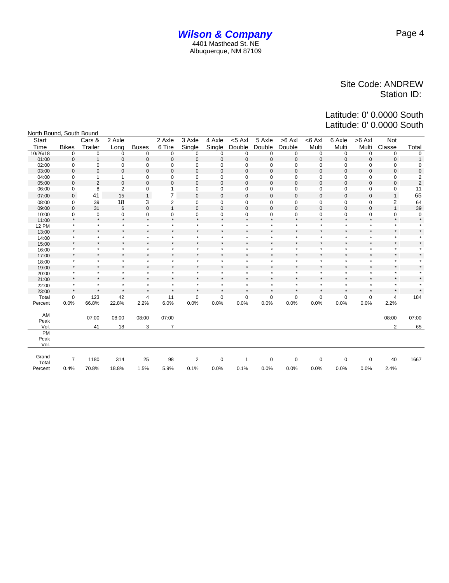| North Bound, South Bound |                    |                    |                    |                                 |                    |                    |                    |                    |                |                    |                    |                    |                    |                    |                |
|--------------------------|--------------------|--------------------|--------------------|---------------------------------|--------------------|--------------------|--------------------|--------------------|----------------|--------------------|--------------------|--------------------|--------------------|--------------------|----------------|
| Start                    |                    | Cars &             | 2 Axle             |                                 | 2 Axle             | 3 Axle             | 4 Axle             | $<$ 5 Axl          | 5 Axle         | $>6$ AxI           | <6 Axl             | 6 Axle             | $>6$ Axl           | <b>Not</b>         |                |
| Time                     | <b>Bikes</b>       | Trailer            | Long               | <b>Buses</b>                    | 6 Tire             | Single             | Single             | Double             | Double         | Double             | Multi              | Multi              | Multi              | Classe             | <b>Total</b>   |
| 10/26/18                 | 0                  | 0                  | 0                  | 0                               | 0                  | 0                  | $\mathbf 0$        | 0                  | 0              | 0                  | 0                  | 0                  | $\mathbf 0$        | $\mathbf 0$        | 0              |
| 01:00                    | $\mathbf 0$        | $\mathbf{1}$       | $\mathbf 0$        | $\bf 0$                         | $\pmb{0}$          | $\mathbf 0$        | $\mathsf 0$        | $\mathbf 0$        | $\mathbf 0$    | $\mathbf 0$        | $\mathbf 0$        | $\mathbf 0$        | $\mathbf 0$        | $\mathbf 0$        | $\mathbf{1}$   |
| 02:00                    | $\mathbf 0$        | $\mathbf 0$        | $\mathbf 0$        | $\mathbf 0$                     | 0                  | 0                  | $\mathbf 0$        | 0                  | 0              | 0                  | $\mathbf 0$        | $\mathbf 0$        | $\mathbf 0$        | 0                  | 0              |
| 03:00                    | $\mathbf 0$        | $\mathbf 0$        | 0                  | $\mathbf 0$                     | $\mathbf{0}$       | $\mathbf 0$        | $\mathbf 0$        | $\mathbf 0$        | $\mathbf 0$    | $\mathbf 0$        | $\mathbf{0}$       | $\mathbf 0$        | $\mathbf 0$        | $\mathbf{0}$       | 0              |
| 04:00                    | $\mathbf 0$        | $\mathbf{1}$       | 1                  | $\mathbf 0$                     | 0                  | 0                  | $\mathbf 0$        | 0                  | 0              | 0                  | 0                  | 0                  | $\mathbf 0$        | 0                  | 2              |
| 05:00                    | $\mathbf 0$        | $\overline{2}$     | $\mathbf{0}$       | $\mathbf 0$                     | $\pmb{0}$          | $\mathbf 0$        | $\pmb{0}$          | $\mathbf 0$        | $\mathbf 0$    | 0                  | $\mathbf{0}$       | $\mathbf 0$        | $\mathbf 0$        | $\mathbf 0$        | $\overline{2}$ |
| 06:00                    | 0                  | 8                  | $\overline{c}$     | 0                               | $\overline{1}$     | 0                  | $\pmb{0}$          | $\mathbf 0$        | $\mathbf 0$    | 0                  | $\mathbf 0$        | $\mathbf 0$        | 0                  | 0                  | 11             |
| 07:00                    | $\mathbf 0$        | 41                 | 15                 | $\mathbf{1}$                    | $\overline{7}$     | $\mathbf 0$        | $\mathsf 0$        | $\mathbf 0$        | $\overline{0}$ | $\mathsf 0$        | $\mathbf{0}$       | $\overline{0}$     | $\mathbf 0$        | $\mathbf{1}$       | 65             |
| 08:00                    | 0                  | 39                 | 18                 | 3                               | $\overline{2}$     | 0                  | $\pmb{0}$          | 0                  | 0              | 0                  | 0                  | $\mathbf 0$        | 0                  | 2                  | 64             |
| 09:00                    | $\mathbf{0}$       | 31                 | 6                  | $\mathbf 0$                     | $\mathbf{1}$       | $\mathbf 0$        | $\mathsf 0$        | $\mathbf 0$        | $\mathbf 0$    | $\mathbf{0}$       | $\mathbf{0}$       | $\mathbf 0$        | $\mathbf 0$        | $\mathbf{1}$       | 39             |
| 10:00                    | 0                  | $\mathbf 0$        | 0                  | $\mathbf 0$                     | 0                  | 0                  | 0                  | 0                  | $\mathbf 0$    | 0                  | 0                  | 0                  | $\mathbf 0$        | 0                  | 0              |
| 11:00                    | $\star$            | $\star$            | $\star$            | $\star$                         | $\star$            | $\star$            | $^\star$           | $\star$            | ۸              | $\star$            | $\star$            | $\star$            | $\star$            | $\star$            | $\star$        |
| <b>12 PM</b>             | $\star$            | $\star$            | $\star$            | $\star$                         | $\star$            | $\star$            | $\star$            | $\star$            | $\star$        | $\star$            | $\star$            | $\star$            | $\star$            | $\star$            |                |
| 13:00                    | $\star$            | $\star$            | $\star$            |                                 | $\star$            | $\star$            | $\star$            | $\star$            | $\star$        | $\star$            | $\star$            | $\star$            | $\star$            | $\star$            |                |
| 14:00                    | $\star$            | $\star$            | $\star$            |                                 | $\star$            | $\star$            | $\star$            | $\star$            | ٠              | $\star$            | $\star$            | $\star$            | $\star$            | $\star$            |                |
| 15:00                    | $\star$            | $^\star$           |                    |                                 | $\star$            | $\star$            | $\star$            | $\star$            | $\star$        | $\star$            | $\star$            | $\star$            | $\star$            | $\star$            |                |
| 16:00                    | $\star$            | $\star$<br>$\star$ | $\star$            | $\star$                         | $\star$            | $\star$            | $\star$            | $\star$<br>$\star$ | $\star$        | $\star$            | $\star$            | $\star$            | $\star$            | $\star$            |                |
| 17:00                    | $\star$            |                    | $\star$            |                                 | $\star$            | $\star$            | $\star$            |                    | ٨              | $\star$            | $\star$            | $\star$            | $\star$            | $\star$            |                |
| 18:00                    | $\star$            | $\star$            | $\star$            | $\star$                         | $\star$            | $\star$            | $\star$            | $\star$            | $\star$        | $\star$            | $\star$            | $\star$            | $\star$            | $\star$            |                |
| 19:00                    | $\star$<br>$\star$ | $\star$<br>$\star$ | $\star$<br>$\star$ |                                 | $\star$<br>$\star$ | $\star$<br>$\star$ | $\star$<br>$\star$ | $\star$<br>$\star$ | $\star$<br>۸   | $\star$<br>$\star$ | $\star$<br>$\star$ | $\star$<br>$\star$ | $\star$            | $\star$<br>$\star$ |                |
| 20:00                    | $\star$            | $\star$            |                    |                                 | $\star$            |                    | $\star$            | $\star$            | $\star$        | $\star$            | $\star$            | $\star$            | $\star$<br>$\star$ | $\star$            |                |
| 21:00                    | $\star$            | $\star$            | $\star$            | $\star$                         | $\star$            | $\star$            | $\star$            | $\star$            | $\star$        | $\star$            | $\star$            | $\star$            | $\star$            | $\star$            |                |
| 22:00                    | $\star$            | $^\star$           | $\star$            | $\star$                         | $\star$            | $\star$            | $\star$            | $\star$            | $\star$        | $\star$            | $\star$            | $\star$            | $\star$            | $\star$            |                |
| 23:00                    |                    |                    |                    |                                 |                    |                    |                    |                    |                |                    |                    |                    |                    |                    |                |
| Total                    | 0<br>0.0%          | 123<br>66.8%       | 42<br>22.8%        | $\overline{\mathbf{4}}$<br>2.2% | 11<br>6.0%         | 0<br>0.0%          | $\pmb{0}$<br>0.0%  | 0                  | $\pmb{0}$      | 0                  | $\mathsf 0$        | $\mathbf 0$        | $\pmb{0}$          | 4                  | 184            |
| Percent                  |                    |                    |                    |                                 |                    |                    |                    | 0.0%               | 0.0%           | 0.0%               | 0.0%               | 0.0%               | 0.0%               | 2.2%               |                |
| AM                       |                    |                    |                    |                                 |                    |                    |                    |                    |                |                    |                    |                    |                    |                    |                |
| Peak                     |                    | 07:00              | 08:00              | 08:00                           | 07:00              |                    |                    |                    |                |                    |                    |                    |                    | 08:00              | 07:00          |
| Vol.                     |                    | 41                 | 18                 | 3                               | $\overline{7}$     |                    |                    |                    |                |                    |                    |                    |                    | 2                  | 65             |
| PM                       |                    |                    |                    |                                 |                    |                    |                    |                    |                |                    |                    |                    |                    |                    |                |
| Peak                     |                    |                    |                    |                                 |                    |                    |                    |                    |                |                    |                    |                    |                    |                    |                |
| Vol.                     |                    |                    |                    |                                 |                    |                    |                    |                    |                |                    |                    |                    |                    |                    |                |
|                          |                    |                    |                    |                                 |                    |                    |                    |                    |                |                    |                    |                    |                    |                    |                |
| Grand                    | $\overline{7}$     | 1180               | 314                | 25                              | 98                 | $\sqrt{2}$         | $\pmb{0}$          | 1                  | $\mathbf 0$    | $\mathbf 0$        | 0                  | $\pmb{0}$          | $\mathbf 0$        | 40                 | 1667           |
| Total                    |                    |                    |                    |                                 |                    |                    |                    |                    |                |                    |                    |                    |                    |                    |                |
| Percent                  | 0.4%               | 70.8%              | 18.8%              | 1.5%                            | 5.9%               | 0.1%               | 0.0%               | 0.1%               | 0.0%           | 0.0%               | 0.0%               | 0.0%               | 0.0%               | 2.4%               |                |